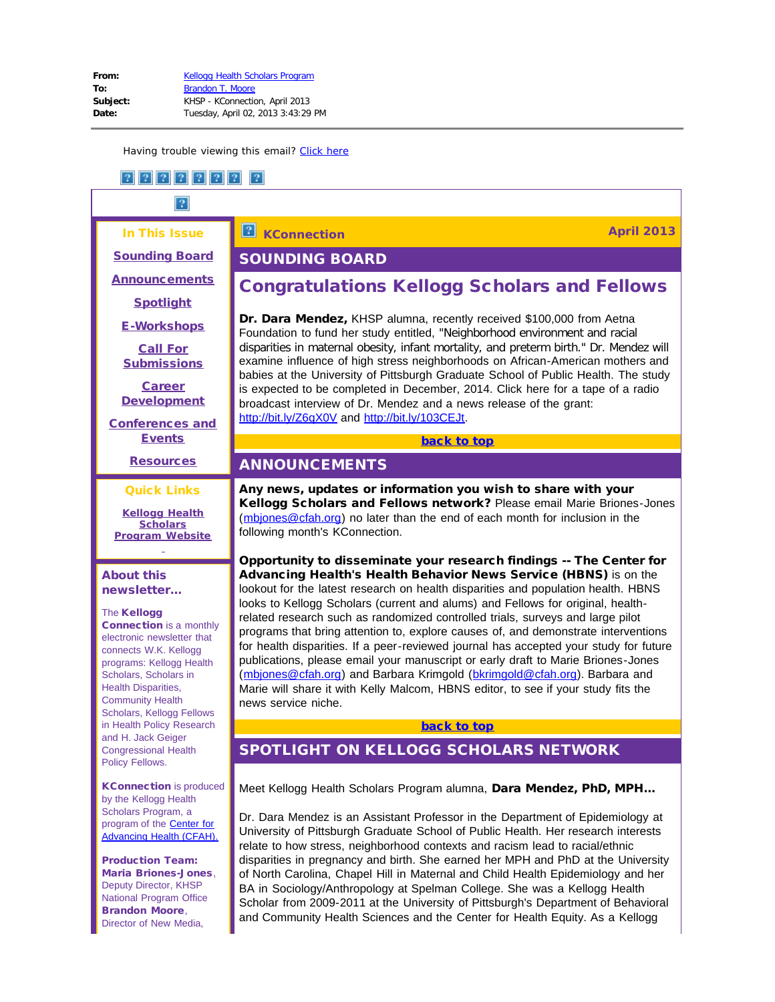<span id="page-0-3"></span><span id="page-0-0"></span>

| In This Issue                                                                                                                                                                                                                                                                                                                                               |
|-------------------------------------------------------------------------------------------------------------------------------------------------------------------------------------------------------------------------------------------------------------------------------------------------------------------------------------------------------------|
| <b>Sounding Board</b>                                                                                                                                                                                                                                                                                                                                       |
| <b>Announcements</b>                                                                                                                                                                                                                                                                                                                                        |
| <b>Spotlight</b>                                                                                                                                                                                                                                                                                                                                            |
| <b>E-Workshops</b>                                                                                                                                                                                                                                                                                                                                          |
| <b>Call For</b><br><b>Submissions</b>                                                                                                                                                                                                                                                                                                                       |
| <b>Career</b><br><b>Development</b>                                                                                                                                                                                                                                                                                                                         |
| <b>Conferences and</b><br><b>Events</b>                                                                                                                                                                                                                                                                                                                     |
| <b>Resources</b>                                                                                                                                                                                                                                                                                                                                            |
| <b>Quick Links</b>                                                                                                                                                                                                                                                                                                                                          |
| <b>Kellogg Health</b><br><b>Scholars</b><br><b>Program Website</b>                                                                                                                                                                                                                                                                                          |
| <b>About this</b>                                                                                                                                                                                                                                                                                                                                           |
| newsletter                                                                                                                                                                                                                                                                                                                                                  |
| The Kellogg<br><b>Connection</b> is a monthly<br>electronic newsletter that<br>connects W.K. Kellogg<br>programs: Kellogg Health<br>Scholars, Scholars in<br><b>Health Disparities,</b><br><b>Community Health</b><br><b>Scholars, Kellogg Fellows</b><br>in Health Policy Research<br>and H. Jack Geiger<br><b>Congressional Health</b><br>Policy Fellows. |
| <b>KConnection</b> is produced<br>by the Kellogg Health<br>Scholars Program, a<br>program of the <b>Center for</b><br><b>Advancing Health (CFAH).</b>                                                                                                                                                                                                       |
| <b>Production Team:</b><br><b>Maria Briones-Jones,</b><br>Deputy Director, KHSP<br><b>National Program Office</b><br><b>Brandon Moore,</b><br>Director of New Media,                                                                                                                                                                                        |

**R** KConnection **April 2013** 

# SOUNDING BOARD

# Congratulations Kellogg Scholars and Fellows

Dr. Dara Mendez, KHSP alumna, recently received \$100,000 from Aetna Foundation to fund her study entitled, "Neighborhood environment and racial disparities in maternal obesity, infant mortality, and preterm birth." Dr. Mendez will examine influence of high stress neighborhoods on African-American mothers and babies at the University of Pittsburgh Graduate School of Public Health. The study is expected to be completed in December, 2014. Click here for a tape of a radio broadcast interview of Dr. Mendez and a news release of the grant: [http://bit.ly/Z6qX0V](http://r20.rs6.net/tn.jsp?e=001bpXOMOwMW5wAjGYtiYo774iTG2QplYCI2TI2q5WY1kS7EpStsnsVhzdtocanT1C3z_sblMgsR16WDzjuJE61wYRVYAkISRYIx85YnDqU1t5-GH9dPFzW63YiQ7Mid3C1SpntF2t50rxPPP-CIu0oQgOXzu4-SXFg7nhTqTobEL39oxHrWXuJU9b3UggIZ_O2) and [http://bit.ly/103CEJt.](http://r20.rs6.net/tn.jsp?e=001bpXOMOwMW5yVhtnotC3SkHU5uf-vGljEbP_nnkN4DDKmFTWjSpbkq1WzbCwCm5miTbyc--wImsldkh3fXIwsc3KA8Vv4YPvqU6R1bx3swO8=)

#### **[back to top](#page-0-3)**

# <span id="page-0-4"></span><span id="page-0-1"></span>ANNOUNCEMENTS

Any news, updates or information you wish to share with your Kellogg Scholars and Fellows network? Please email Marie Briones-Jones ([mbjones@cfah.org\)](mailto:mbjones@cfah.org) no later than the end of each month for inclusion in the following month's KConnection.

Opportunity to disseminate your research findings -- The Center for Advancing Health's Health Behavior News Service (HBNS) is on the lookout for the latest research on health disparities and population health. HBNS looks to Kellogg Scholars (current and alums) and Fellows for original, healthrelated research such as randomized controlled trials, surveys and large pilot programs that bring attention to, explore causes of, and demonstrate interventions for health disparities. If a peer-reviewed journal has accepted your study for future publications, please email your manuscript or early draft to Marie Briones-Jones (mbiones@cfah.org) and Barbara Krimgold ([bkrimgold@cfah.org](mailto:bkrimgold@cfah.org)). Barbara and Marie will share it with Kelly Malcom, HBNS editor, to see if your study fits the news service niche.

#### [back to top](#page-0-3)

# <span id="page-0-2"></span>SPOTLIGHT ON KELLOGG SCHOLARS NETWORK

Meet Kellogg Health Scholars Program alumna, Dara Mendez, PhD, MPH...

Dr. Dara Mendez is an Assistant Professor in the Department of Epidemiology at University of Pittsburgh Graduate School of Public Health. Her research interests relate to how stress, neighborhood contexts and racism lead to racial/ethnic disparities in pregnancy and birth. She earned her MPH and PhD at the University of North Carolina, Chapel Hill in Maternal and Child Health Epidemiology and her BA in Sociology/Anthropology at Spelman College. She was a Kellogg Health Scholar from 2009-2011 at the University of Pittsburgh's Department of Behavioral and Community Health Sciences and the Center for Health Equity. As a Kellogg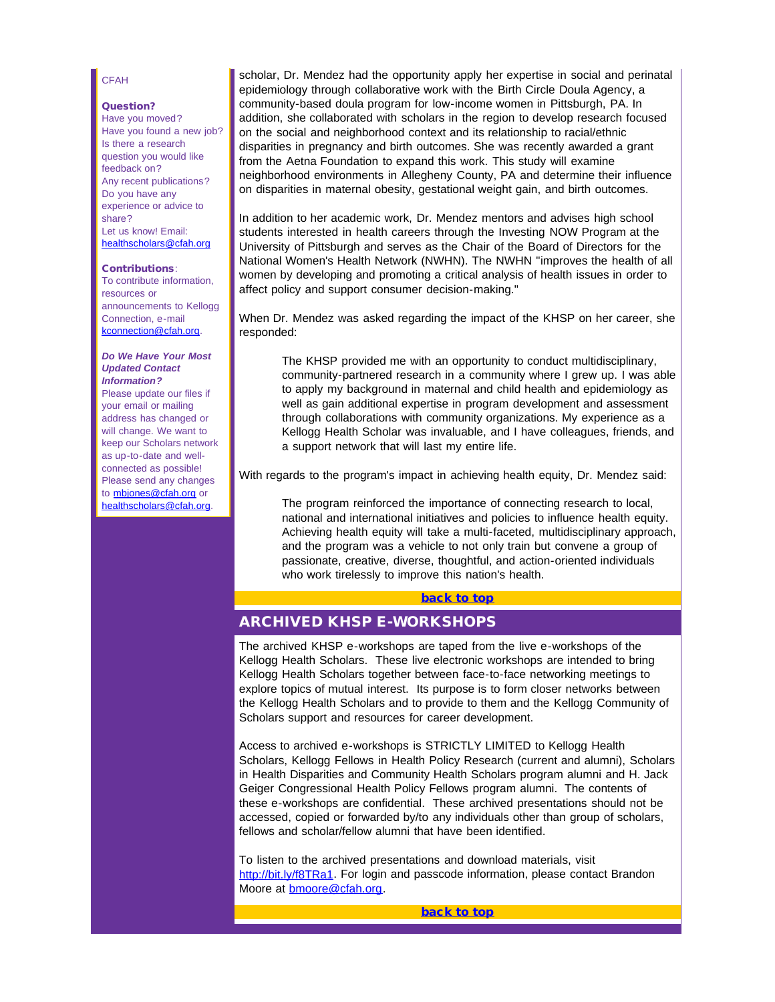#### CFAH

#### Question?

Have you moved? Have you found a new job? Is there a research question you would like feedback on? Any recent publications? Do you have any experience or advice to share? Let us know! Email: [healthscholars@cfah.org](mailto:healthscholars@cfah.org)

#### Contributions:

To contribute information, resources or announcements to Kellogg Connection, e-mail [kconnection@cfah.org.](mailto:kconnection@cfah.org)

#### *Do We Have Your Most Updated Contact Information?*

<span id="page-1-0"></span>Please update our files if your email or mailing address has changed or will change. We want to keep our Scholars network as up-to-date and wellconnected as possible! Please send any changes to **[mbjones@cfah.org](mailto:mbjones@cfah.org)** or [healthscholars@cfah.org](mailto:healthscholars@cfah.org).

scholar, Dr. Mendez had the opportunity apply her expertise in social and perinatal epidemiology through collaborative work with the Birth Circle Doula Agency, a community-based doula program for low-income women in Pittsburgh, PA. In addition, she collaborated with scholars in the region to develop research focused on the social and neighborhood context and its relationship to racial/ethnic disparities in pregnancy and birth outcomes. She was recently awarded a grant from the Aetna Foundation to expand this work. This study will examine neighborhood environments in Allegheny County, PA and determine their influence on disparities in maternal obesity, gestational weight gain, and birth outcomes.

In addition to her academic work, Dr. Mendez mentors and advises high school students interested in health careers through the Investing NOW Program at the University of Pittsburgh and serves as the Chair of the Board of Directors for the National Women's Health Network (NWHN). The NWHN "improves the health of all women by developing and promoting a critical analysis of health issues in order to affect policy and support consumer decision-making."

When Dr. Mendez was asked regarding the impact of the KHSP on her career, she responded:

The KHSP provided me with an opportunity to conduct multidisciplinary, community-partnered research in a community where I grew up. I was able to apply my background in maternal and child health and epidemiology as well as gain additional expertise in program development and assessment through collaborations with community organizations. My experience as a Kellogg Health Scholar was invaluable, and I have colleagues, friends, and a support network that will last my entire life.

With regards to the program's impact in achieving health equity, Dr. Mendez said:

The program reinforced the importance of connecting research to local, national and international initiatives and policies to influence health equity. Achieving health equity will take a multi-faceted, multidisciplinary approach, and the program was a vehicle to not only train but convene a group of passionate, creative, diverse, thoughtful, and action-oriented individuals who work tirelessly to improve this nation's health.

#### [back to top](#page-0-4)

# ARCHIVED KHSP E-WORKSHOPS

The archived KHSP e-workshops are taped from the live e-workshops of the Kellogg Health Scholars. These live electronic workshops are intended to bring Kellogg Health Scholars together between face-to-face networking meetings to explore topics of mutual interest. Its purpose is to form closer networks between the Kellogg Health Scholars and to provide to them and the Kellogg Community of Scholars support and resources for career development.

<span id="page-1-1"></span>Access to archived e-workshops is STRICTLY LIMITED to Kellogg Health Scholars, Kellogg Fellows in Health Policy Research (current and alumni), Scholars in Health Disparities and Community Health Scholars program alumni and H. Jack Geiger Congressional Health Policy Fellows program alumni. The contents of these e-workshops are confidential. These archived presentations should not be accessed, copied or forwarded by/to any individuals other than group of scholars, fellows and scholar/fellow alumni that have been identified.

To listen to the archived presentations and download materials, visit http://bit.lv/f8TRa1. For login and passcode information, please contact Brandon Moore at [bmoore@cfah.org](mailto:bmoore@cfah.org).

[back to top](#page-0-4)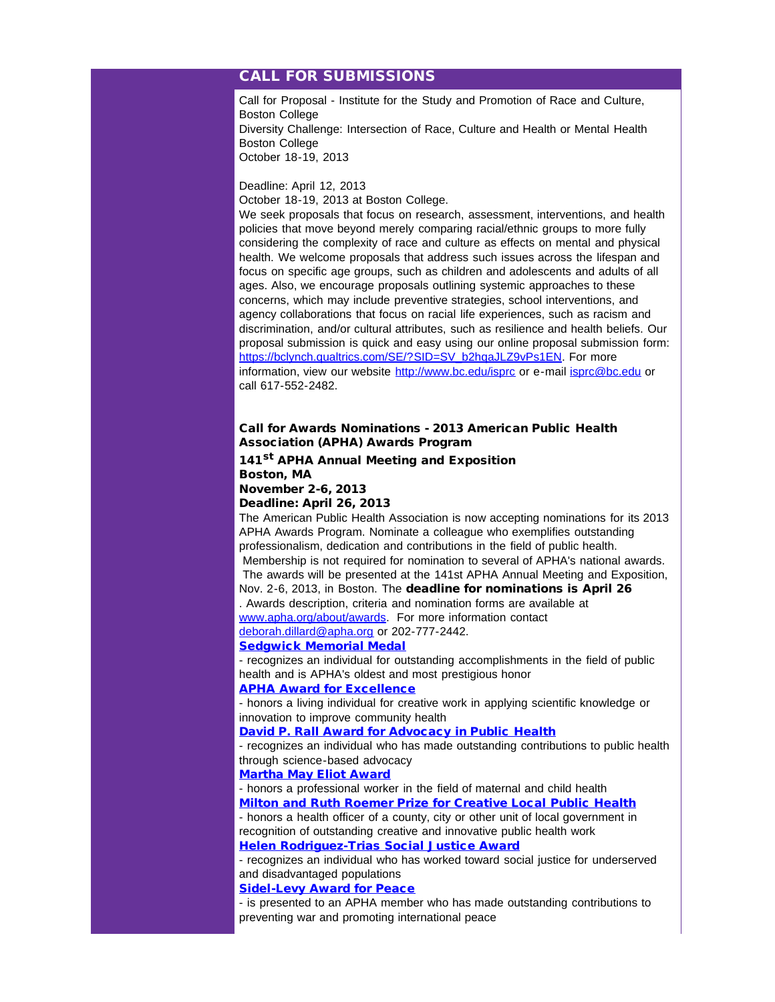# CALL FOR SUBMISSIONS

Call for Proposal - Institute for the Study and Promotion of Race and Culture, Boston College Diversity Challenge: Intersection of Race, Culture and Health or Mental Health Boston College October 18-19, 2013

Deadline: April 12, 2013

October 18-19, 2013 at Boston College.

We seek proposals that focus on research, assessment, interventions, and health policies that move beyond merely comparing racial/ethnic groups to more fully considering the complexity of race and culture as effects on mental and physical health. We welcome proposals that address such issues across the lifespan and focus on specific age groups, such as children and adolescents and adults of all ages. Also, we encourage proposals outlining systemic approaches to these concerns, which may include preventive strategies, school interventions, and agency collaborations that focus on racial life experiences, such as racism and discrimination, and/or cultural attributes, such as resilience and health beliefs. Our proposal submission is quick and easy using our online proposal submission form: [https://bclynch.qualtrics.com/SE/?SID=SV\\_b2hqaJLZ9vPs1EN](http://r20.rs6.net/tn.jsp?e=001bpXOMOwMW5yshOr9EH7QYk4KB54OwFWzk_zEaiNaOC7c6mevTrYPWqgMtYg7fybDM6ycIVGfgM4L_4mmL19_PMsexdiMzN9lewepFySku84ow0vrd0K8FPGKa_d-w6jtLGyZh15xSeLfJ79SNvA0KugoUQ7ikuYH). For more information, view our website [http://www.bc.edu/isprc](http://r20.rs6.net/tn.jsp?e=001bpXOMOwMW5zl50GllFxT8FI156KOQgznaMXNdusz7XNvNO50kyVcOIfx5LNRbOuej_Qre8MPFLjBZeZhPE4VdnPDvGrXGB4F7hcqtcKGERE=) or e-mail [isprc@bc.edu](mailto:isprc@bc.edu) or call 617-552-2482.

# Call for Awards Nominations - 2013 American Public Health Association (APHA) Awards Program

### 141<sup>st</sup> APHA Annual Meeting and Exposition Boston, MA November 2-6, 2013

Deadline: April 26, 2013

The American Public Health Association is now accepting nominations for its 2013 APHA Awards Program. Nominate a colleague who exemplifies outstanding professionalism, dedication and contributions in the field of public health. Membership is not required for nomination to several of APHA's national awards. The awards will be presented at the 141st APHA Annual Meeting and Exposition, Nov. 2-6, 2013, in Boston. The deadline for nominations is April 26

. Awards description, criteria and nomination forms are available at [www.apha.org/about/awards](http://r20.rs6.net/tn.jsp?e=001bpXOMOwMW5weDjmrHekJYklO4Xh_Ey7FaOungraQwu4NfvehDSGJi-4xUt_WMtE9R4XeU8lXbL_PhxjFKgMYEoXg3xQjqbq8r9X8ZKgEfjiw8-TXgCC11BMzS3ezHNwrqwNkRJUYulEmlOgddgvSFbke4TSvYwPG). For more information contact [deborah.dillard@apha.org](mailto:deborah.dillard@apha.org) or 202-777-2442.

**[Sedgwick Memorial Medal](http://r20.rs6.net/tn.jsp?e=001bpXOMOwMW5ybictVtQhMVSx_TfS1VLYCCEtu0QNM1QvLhRNCv3f0kvDHl-YSSyfKzFwKmVsHMJWLLTUxGHyLbXd996Bk8DU7y1kut9yuZs4t2dVQ8NFLQAYR35_L1QA6CLfznER6Rzylg9eRlC8ec5s9afDQrX6I)** 

- recognizes an individual for outstanding accomplishments in the field of public health and is APHA's oldest and most prestigious honor

#### [APHA Award for Excellence](http://r20.rs6.net/tn.jsp?e=001bpXOMOwMW5wDqpvZaYTELhbxNPmwDlOYalqWMLsrN6WSdIeHRGbCcyPCtdFImjXc6oqnvseWtCA3Dz28naVSlWOLDKcbz7AgWFKypKBhLruSZGOAtLx-19z0wxib2VE4yk86wYmYCHcC1r1z4mg2FJUC5NkVTenQ)

- honors a living individual for creative work in applying scientific knowledge or innovation to improve community health

### [David P. Rall Award for Advocacy in Public Health](http://r20.rs6.net/tn.jsp?e=001bpXOMOwMW5wQF1rv4vcjK4Y39D0nCLwG3rWb-x54KWGFQXeaFdHdjR5_CCJdEBWhsfIVOAx8plYE8JnOICIG1MqGWFkvocQAl0vw8RYCxSEwg_pdIRocLaa7_caaKaglmIzB_j11YW5dfe_5wKjNP0g3jsSHmei4)

- recognizes an individual who has made outstanding contributions to public health through science-based advocacy

#### [Martha May Eliot Award](http://r20.rs6.net/tn.jsp?e=001bpXOMOwMW5xi2cmDuo2dob4izcQe2ARReZDQB23M-fqs2_CW16LJXRY3KCAE3qLohUrOu8NXPPEr9GmBt46zcomXGb-nzRRKjaX7X2VgKd6qFMfuF_CovvukyzLREVrANZa-GCOvv-60Is-8ThCjIWelp5QUjYOy)

- honors a professional worker in the field of maternal and child health [Milton and Ruth Roemer Prize for Creative Local Public Health](http://r20.rs6.net/tn.jsp?e=001bpXOMOwMW5wsv747PnIhbJPywiSFj12rf3fUq2lkLqDEe-xTFarLAE7aq-V8SNsAyvTVQT4LiL-6lwejvGGiWYz3EhBuSeKrK9KxxtbEKLvKBHA_7hakJoox8iNk_yonedCqyVQwCUZ9UgOSQM8Zd0bxbvukY30j)

- honors a health officer of a county, city or other unit of local government in recognition of outstanding creative and innovative public health work [Helen Rodriguez-Trias Social Justice Award](http://r20.rs6.net/tn.jsp?e=001bpXOMOwMW5x2Q8eZCYISDJuDGt2gvTZMiADWZdJDN6S84KQ_eBf19rPLKwjr_5i_jo4fFRAIl0k0mUtWQopzDlW4cCaPICqjAHvnK_3ftMtI5xV-Rz6vQvymMjEslVXHW_yr9WwKwp8P3hLrgaViLSh4tUymsZIp)

- recognizes an individual who has worked toward social justice for underserved and disadvantaged populations

### [Sidel-Levy Award for Peace](http://r20.rs6.net/tn.jsp?e=001bpXOMOwMW5waq2c2hLOECb7o-LW8JEocMty6lQsGRTdGFO7ZDLVV_-fRRDGCnljYJBBER4zQuf2JJsKGKh6Ufqb9C-xuITJYuH4sZjnsMgzfK-gjy8NSKB4vmnK6rRlzZ6Zy2fcWJIrZwTRuhGLthJllqBSaZ7wr)

- is presented to an APHA member who has made outstanding contributions to preventing war and promoting international peace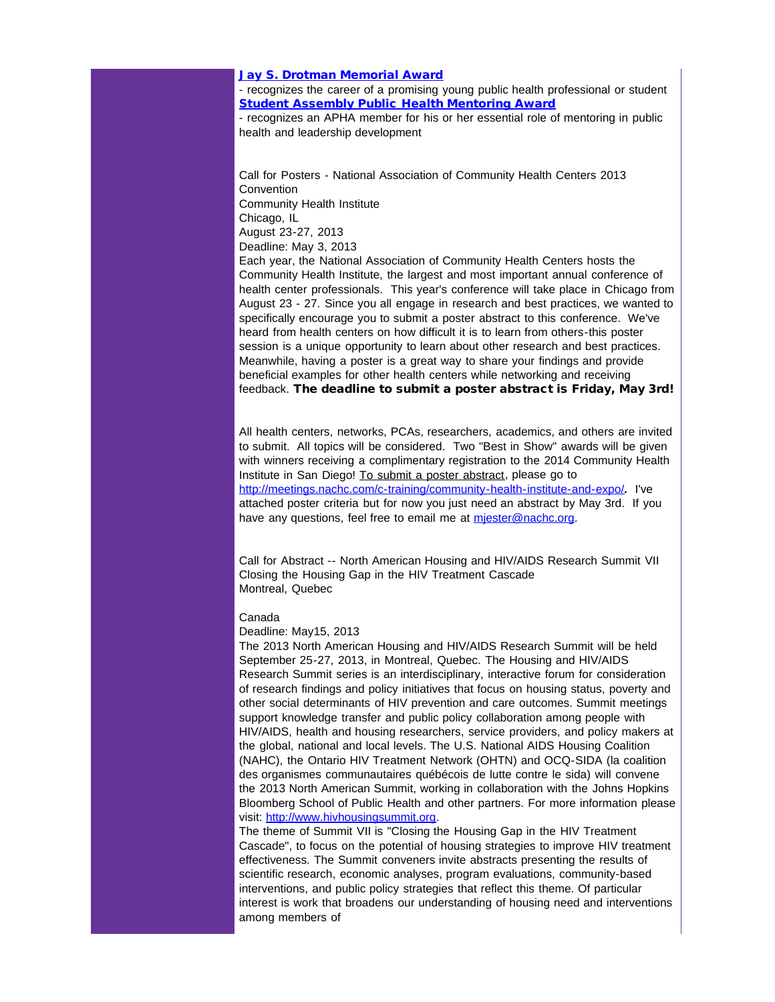#### [Jay S. Drotman Memorial Award](http://r20.rs6.net/tn.jsp?e=001bpXOMOwMW5x_q17615NFTcsrpehZ9PHPxXvPdeWSWBrpetlyvej54rcp68YgZjhdvj_KAk0D0QbrIZk1kTDwcDhpber_T3AKk3_wPX-K7mtgDp4YS8H5Hldj80IyfkWgeWvIFG_mRs4xSdonlbilJDwHdaLedpjo)

- recognizes the career of a promising young public health professional or student [Student Assembly Public Health Mentoring Award](http://r20.rs6.net/tn.jsp?e=001bpXOMOwMW5y7Fd_dlXC3CKa5Jf0uxvDHd-VIPY_xb5PlOOF7fy1e7x-8hdSeakXDDIBw9-TgfZDD_LFCeX3WrtBmYahjI1D3tGMuithB0pJZtJd-SzUz-qFn-i_lA0oKvbLBwOxmzBzEpc_d5rQxAh7EBSCJcRsA)

- recognizes an APHA member for his or her essential role of mentoring in public health and leadership development

Call for Posters - National Association of Community Health Centers 2013 **Convention** Community Health Institute Chicago, IL August 23-27, 2013 Deadline: May 3, 2013 Each year, the National Association of Community Health Centers hosts the

Community Health Institute, the largest and most important annual conference of health center professionals. This year's conference will take place in Chicago from August 23 - 27. Since you all engage in research and best practices, we wanted to specifically encourage you to submit a poster abstract to this conference. We've heard from health centers on how difficult it is to learn from others-this poster session is a unique opportunity to learn about other research and best practices. Meanwhile, having a poster is a great way to share your findings and provide beneficial examples for other health centers while networking and receiving feedback. The deadline to submit a poster abstract is Friday, May 3rd!

All health centers, networks, PCAs, researchers, academics, and others are invited to submit. All topics will be considered. Two "Best in Show" awards will be given with winners receiving a complimentary registration to the 2014 Community Health Institute in San Diego! To submit a poster abstract, please go to [http://meetings.nachc.com/c-training/community-health-institute-and-expo/](http://r20.rs6.net/tn.jsp?e=001bpXOMOwMW5ywx9ipXoV89QXHYNoOBJcVzOGOUQlS9fCihq7Y5991nBDGsxMiDR5lCjetqgX9Fh2Cpi_0ActpC9ajgTzJwrwYvVbpYTirFWdpkNX8_6F3fJ5QHqV6Ars5MDWaM8zNBUDv0fJi7VI_z81E0_HsG2bjhSnzdgGd0E48s3uuymXbpA==)*.* I've attached poster criteria but for now you just need an abstract by May 3rd. If you have any questions, feel free to email me at miester@nachc.org.

Call for Abstract -- North American Housing and HIV/AIDS Research Summit VII Closing the Housing Gap in the HIV Treatment Cascade Montreal, Quebec

#### Canada

Deadline: May15, 2013

The 2013 North American Housing and HIV/AIDS Research Summit will be held September 25-27, 2013, in Montreal, Quebec. The Housing and HIV/AIDS Research Summit series is an interdisciplinary, interactive forum for consideration of research findings and policy initiatives that focus on housing status, poverty and other social determinants of HIV prevention and care outcomes. Summit meetings support knowledge transfer and public policy collaboration among people with HIV/AIDS, health and housing researchers, service providers, and policy makers at the global, national and local levels. The U.S. National AIDS Housing Coalition (NAHC), the Ontario HIV Treatment Network (OHTN) and OCQ-SIDA (la coalition des organismes communautaires québécois de lutte contre le sida) will convene the 2013 North American Summit, working in collaboration with the Johns Hopkins Bloomberg School of Public Health and other partners. For more information please visit: [http://www.hivhousingsummit.org.](http://r20.rs6.net/tn.jsp?e=001bpXOMOwMW5wiIcxX8oBmimCJd3qssyvkNp1Sc1sPOMCxa3s2It6TtSUEAYbnPlUbGkSIEEEx9ML3mPLam6xylUMz3toVGsfTv6nENM7dziCgjdzs62k2dg==)

The theme of Summit VII is "Closing the Housing Gap in the HIV Treatment Cascade", to focus on the potential of housing strategies to improve HIV treatment effectiveness. The Summit conveners invite abstracts presenting the results of scientific research, economic analyses, program evaluations, community-based interventions, and public policy strategies that reflect this theme. Of particular interest is work that broadens our understanding of housing need and interventions among members of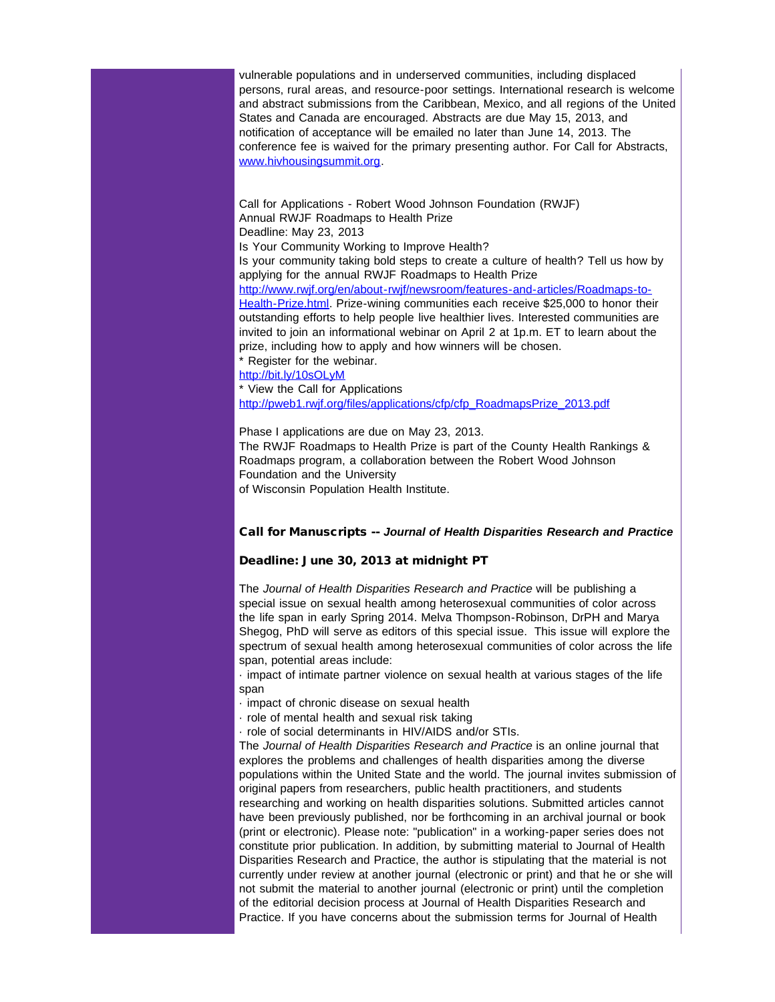vulnerable populations and in underserved communities, including displaced persons, rural areas, and resource-poor settings. International research is welcome and abstract submissions from the Caribbean, Mexico, and all regions of the United States and Canada are encouraged. Abstracts are due May 15, 2013, and notification of acceptance will be emailed no later than June 14, 2013. The conference fee is waived for the primary presenting author. For Call for Abstracts, [www.hivhousingsummit.org](http://r20.rs6.net/tn.jsp?e=001bpXOMOwMW5wiIcxX8oBmimCJd3qssyvkNp1Sc1sPOMCxa3s2It6TtSUEAYbnPlUbGkSIEEEx9ML3mPLam6xylUMz3toVGsfTv6nENM7dziCgjdzs62k2dg==).

Call for Applications - Robert Wood Johnson Foundation (RWJF) Annual RWJF Roadmaps to Health Prize Deadline: May 23, 2013 Is Your Community Working to Improve Health?

Is your community taking bold steps to create a culture of health? Tell us how by applying for the annual RWJF Roadmaps to Health Prize

[http://www.rwjf.org/en/about-rwjf/newsroom/features-and-articles/Roadmaps-to-](http://r20.rs6.net/tn.jsp?e=001bpXOMOwMW5zF7gbvpoiLGqfaAVTnIDqH7hwsaClwrsqmx4UGrPBO2kZVq5_hSPBKpj36_8c__GDkLaO0HcSXuMMQ6qlWRsWdjaqvhsLzo_2avyoI36T1cOs_0nUWd2KrJkUODSDEmbWWYR2ShLxTp1UCgxl5rbiTiWJUbeZYtp9CSeURPEl3NnYUxSoFbdXYPr2LzbAPwGi5Akxr0zsW-g==)[Health-Prize.html](http://r20.rs6.net/tn.jsp?e=001bpXOMOwMW5zF7gbvpoiLGqfaAVTnIDqH7hwsaClwrsqmx4UGrPBO2kZVq5_hSPBKpj36_8c__GDkLaO0HcSXuMMQ6qlWRsWdjaqvhsLzo_2avyoI36T1cOs_0nUWd2KrJkUODSDEmbWWYR2ShLxTp1UCgxl5rbiTiWJUbeZYtp9CSeURPEl3NnYUxSoFbdXYPr2LzbAPwGi5Akxr0zsW-g==). Prize-wining communities each receive \$25,000 to honor their outstanding efforts to help people live healthier lives. Interested communities are invited to join an informational webinar on April 2 at 1p.m. ET to learn about the prize, including how to apply and how winners will be chosen.

Register for the webinar.

[http://bit.ly/10sOLyM](http://r20.rs6.net/tn.jsp?e=001bpXOMOwMW5wqn7geMGRUfC3Jbn_YvYPfLDGU1WNzYwQbugJ9VuZI2jRrMsekEHOj47Ih2Y_qJZjtIDcyx8PgQq4ftK0aK5w-cM_2GDBORubFib5o57Fjy83DuhceyUTXLMS2UH8pMB5NBs55_KU9SiXz5czH6FDwWmMq3k2-Nkh5Hzx-K9Plf4i8qm1Sd4msVgn3q9H5PHSPG9xT8sTwc33IPKC030KS-xZmF0EYtuzCETiHdnyAMU2Ox4lNLnn9K36IFTjrL8BYo47O1iZJL8LLO3Km8aZ1k9BqwijcQv8-piEySM_PMXGwc4tCZdUp_sY6C_lUqsc=)

\* View the Call for Applications http://pweb1.rwif.org/files/applications/cfp/cfp\_RoadmapsPrize\_2013.pdf

Phase I applications are due on May 23, 2013. The RWJF Roadmaps to Health Prize is part of the County Health Rankings & Roadmaps program, a collaboration between the Robert Wood Johnson Foundation and the University of Wisconsin Population Health Institute.

# Call for Manuscripts -- *Journal of Health Disparities Research and Practice*

#### Deadline: June 30, 2013 at midnight PT

The *Journal of Health Disparities Research and Practice* will be publishing a special issue on sexual health among heterosexual communities of color across the life span in early Spring 2014. Melva Thompson-Robinson, DrPH and Marya Shegog, PhD will serve as editors of this special issue. This issue will explore the spectrum of sexual health among heterosexual communities of color across the life span, potential areas include:

· impact of intimate partner violence on sexual health at various stages of the life span

· impact of chronic disease on sexual health

· role of mental health and sexual risk taking

· role of social determinants in HIV/AIDS and/or STIs.

The *Journal of Health Disparities Research and Practice* is an online journal that explores the problems and challenges of health disparities among the diverse populations within the United State and the world. The journal invites submission of original papers from researchers, public health practitioners, and students researching and working on health disparities solutions. Submitted articles cannot have been previously published, nor be forthcoming in an archival journal or book (print or electronic). Please note: "publication" in a working-paper series does not constitute prior publication. In addition, by submitting material to Journal of Health Disparities Research and Practice, the author is stipulating that the material is not currently under review at another journal (electronic or print) and that he or she will not submit the material to another journal (electronic or print) until the completion of the editorial decision process at Journal of Health Disparities Research and Practice. If you have concerns about the submission terms for Journal of Health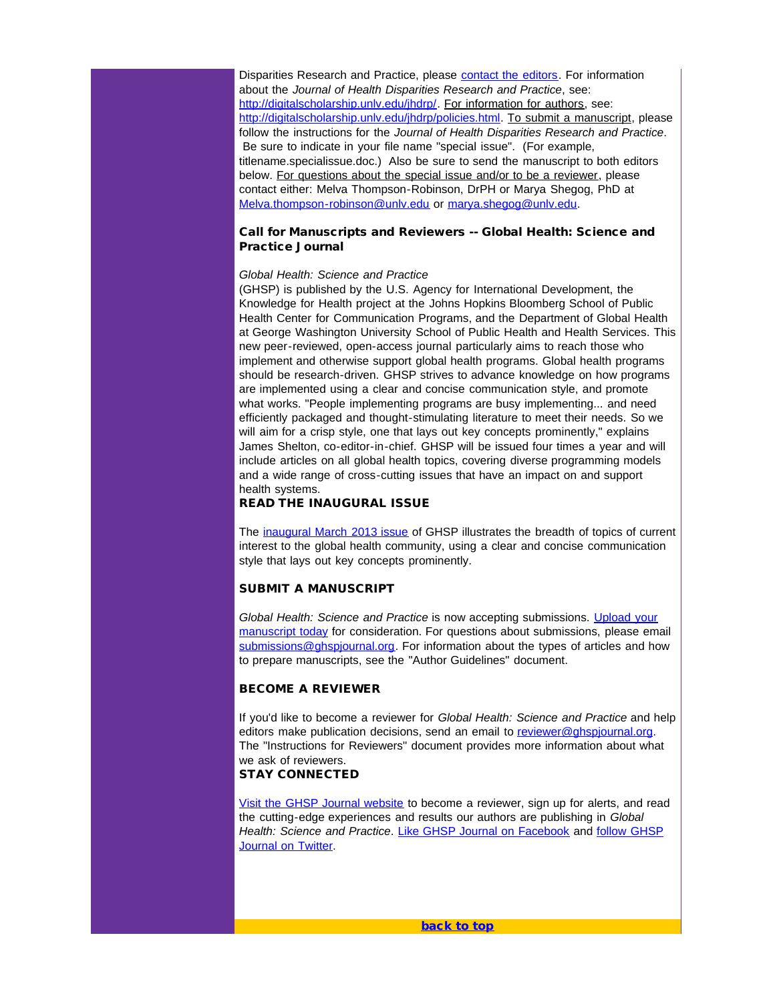Disparities Research and Practice, please [contact the editors](http://r20.rs6.net/tn.jsp?e=001bpXOMOwMW5yeJMvhcjcDLpP9vqPDX6SVj6GMa8TIOforjUZWkVEbvEAkoaIJZr4L2kVymqpX-UohI0HXkQnNuY3_OcPsKm_A3WtCVHg0Wl35sZIIejMKvpedFgDPXowI0pplWGto2O66XoHTEYtogssAR-U0FDchqwsO-2GAAjkaC-Io8CsswA==). For information about the *Journal of Health Disparities Research and Practice*, see: http://digitalscholarship.unly.edu/ihdrp/. For information for authors, see: [http://digitalscholarship.unlv.edu/jhdrp/policies.html.](http://r20.rs6.net/tn.jsp?e=001bpXOMOwMW5wCHHVGnGCoRoZ46NTHZZdoN1aSCXZtW7ygZWjQZLWvUPP57vhNC99J3m6lpvERB-l4iPQGDWp_ZcZl-9_lcHds_uLZ87VKjCwQwSECVDw_FjLtgvQznsokA8ROR_WMph6If2bm6WbnVw==) To submit a manuscript, please follow the instructions for the *Journal of Health Disparities Research and Practice*. Be sure to indicate in your file name "special issue". (For example, titlename.specialissue.doc.) Also be sure to send the manuscript to both editors below. For questions about the special issue and/or to be a reviewer, please contact either: Melva Thompson-Robinson, DrPH or Marya Shegog, PhD at [Melva.thompson-robinson@unlv.edu](mailto:Melva.thompson-robinson@unlv.edu) or [marya.shegog@unlv.edu](mailto:marya.shegog@unlv.edu).

# Call for Manuscripts and Reviewers -- Global Health: Science and Practice Journal

#### *Global Health: Science and Practice*

(GHSP) is published by the U.S. Agency for International Development, the Knowledge for Health project at the Johns Hopkins Bloomberg School of Public Health Center for Communication Programs, and the Department of Global Health at George Washington University School of Public Health and Health Services. This new peer-reviewed, open-access journal particularly aims to reach those who implement and otherwise support global health programs. Global health programs should be research-driven. GHSP strives to advance knowledge on how programs are implemented using a clear and concise communication style, and promote what works. "People implementing programs are busy implementing... and need efficiently packaged and thought-stimulating literature to meet their needs. So we will aim for a crisp style, one that lays out key concepts prominently," explains James Shelton, co-editor-in-chief. GHSP will be issued four times a year and will include articles on all global health topics, covering diverse programming models and a wide range of cross-cutting issues that have an impact on and support health systems.

#### READ THE INAUGURAL ISSUE

The [inaugural March 2013 issue](http://r20.rs6.net/tn.jsp?e=001bpXOMOwMW5zkSNOCAFwqHWigBkLpwDPBxw5EzHnxEPESvknqOXruQzY7TbL0rSvBu9GKfUatqCrl08vjT4h6HJN5j5jnhFmdVQCpxc8WUkutl-D-_k1GXLs7P3t8irK9uQMenitTCrPjhcN1x1a-awv8oa_Tgdh8LkHQlOKse2BEpX8InMWqItfoCPJaKlUKGeM5-XdFcN_hawqMqTkk_hb61g_MfFtEjKp8b87DMMEXgOU_sICHrccWm8ptRcA6SsaVvHRbzuJ9gyqEJ2CUmrkkvzwFf-lOTaghNgL46uqT_vJBBshf2V6ctOSNK6tpVov0Ew6x-7QaDys8BgDKNMBBlawOTZJ-u5xDrnBOmPPO352cL4SM67S6Z2GqqNosNzEKDdbXSgKYrZmcvMlTj8Xq0kbY47yOSS9ZgFSU7wtIEEWHgrgIBm_qPDOH_L4h9r3V_WYiJ-2LzYp7wGkFhIIZSIHtcInHCukNSChSmQxowroM8qsY-lFtvkB1WmrsO62fFlgM6ECgukfjKDJwW4WweDTxcm2KCmYh8xtDpErsbPiXOJGRmuW2TT2GCe884x2tD2fhT9E2cyHyI25Rt36JHQY1a2db) of GHSP illustrates the breadth of topics of current interest to the global health community, using a clear and concise communication style that lays out key concepts prominently.

#### SUBMIT A MANUSCRIPT

*Global Health: Science and Practice* is now accepting submissions. [Upload your](http://r20.rs6.net/tn.jsp?e=001bpXOMOwMW5wIUQcljW1NC1tVoSDkdM596GBdNTcaiUNZR8K3eBBsb7gkhAbUj6PCkKg75ZN8Vw9DYvsAEOwckcNE9qujenz8mCvEJeaKSasJTIy0Qq0p8z57pCkgLXGStvP1-s32V0Y1HJkMa7ADbziEhUObqgp3S68D0X4NcPjQNvQ811S9oW5rQlXWqnTjq6zuHxgFwzaIc9Cs_eH_K3tTHCty4vuHsmgrQdwxbjeg-WngjDGXam8B-y0XTHNNq4hynJbBpMo_SdumYT-Ud-f75PUyNI8cna90zeIiRgHcvbgE4kQ_IRMOeQAYKtxUzk2kJi2aby0kfkBjuOSoNYBpdeFFN10kaNhgClPNiMDlSCoGjO6AGkfb--JcqZRxz3ODqWscJUq-T1bKzy4npuqfzETfilXBRxg5mosMmhW5nomds9Q7sOzsez9Z9K_gQPH6MFNXQtVMGvbJW4pMvH7zeK9njxG2QNj_qBiVqnmVmwyAPwOb5BluoCUdEz29voTm552USONs8urMV7TMVVIVc70hWM64A0W8yNYc5m0Shz8WZ8JtrfwNNXke2wbTeMx65DF3LGbNswRQAU4zzOvW4-uxzcpI) [manuscript today](http://r20.rs6.net/tn.jsp?e=001bpXOMOwMW5wIUQcljW1NC1tVoSDkdM596GBdNTcaiUNZR8K3eBBsb7gkhAbUj6PCkKg75ZN8Vw9DYvsAEOwckcNE9qujenz8mCvEJeaKSasJTIy0Qq0p8z57pCkgLXGStvP1-s32V0Y1HJkMa7ADbziEhUObqgp3S68D0X4NcPjQNvQ811S9oW5rQlXWqnTjq6zuHxgFwzaIc9Cs_eH_K3tTHCty4vuHsmgrQdwxbjeg-WngjDGXam8B-y0XTHNNq4hynJbBpMo_SdumYT-Ud-f75PUyNI8cna90zeIiRgHcvbgE4kQ_IRMOeQAYKtxUzk2kJi2aby0kfkBjuOSoNYBpdeFFN10kaNhgClPNiMDlSCoGjO6AGkfb--JcqZRxz3ODqWscJUq-T1bKzy4npuqfzETfilXBRxg5mosMmhW5nomds9Q7sOzsez9Z9K_gQPH6MFNXQtVMGvbJW4pMvH7zeK9njxG2QNj_qBiVqnmVmwyAPwOb5BluoCUdEz29voTm552USONs8urMV7TMVVIVc70hWM64A0W8yNYc5m0Shz8WZ8JtrfwNNXke2wbTeMx65DF3LGbNswRQAU4zzOvW4-uxzcpI) for consideration. For questions about submissions, please email [submissions@ghspjournal.org](mailto:submissions@ghspjournal.org). For information about the types of articles and how to prepare manuscripts, see the "Author Guidelines" document.

# BECOME A REVIEWER

If you'd like to become a reviewer for *Global Health: Science and Practice* and help editors make publication decisions, send an email to [reviewer@ghspjournal.org](mailto:reviewer@ghspjournal.org). The "Instructions for Reviewers" document provides more information about what we ask of reviewers.

# STAY CONNECTED

[Visit the GHSP Journal website](http://r20.rs6.net/tn.jsp?e=001bpXOMOwMW5xh7bAZptSpy0N3sAtNzkvYnslI0x2ZeD4U0uU4ZCoy-sb0AcP0gXVHwOAWL6geJ2Dz_BBuo3wFGQ5MdZHY_Rf4DO4tW0AcKiDAaCgS2TS4h6iwFXjSidBxMo9FvV7GcE3qepd-y8-Vzvyvg8UQJ8m7JRYKmPHoc9aw-0il1hQh6YsqlsG3TUsPvrQv0nCpTK-0h1tSTlfqSX3wErLrId0SNyl_78GYiaNDBLNYE6MPIFE8uWdlNxsZmVHP1_csT9djdPRMdqpKBqhy2Axq6fV48zAiS2OvCzQKVq86elhwuzgIxRpWL7LjAci9hh0M-vKfESVyhaG6qbqfSLF1hZpnNFv_iC0b1jZo9zQrrkjmsCjRHjFXZ7LDXWfgNl2GrcuiPifrzAxZU3_6ZYtfWsiwKV2mQS_q0KgieKHJF6H7DzDcRcojYyT4oVMjjWis95UfHp-QxNQKhqpoVCGyMNgYXzI1HvflC37CBMMFTzcJ9QKNCeneyauD4Z3Qt9whSzOODBvk3gCdEiNbuomiIOAGb9GDkDL96OCKYgBO1T0qJx5bphlzAMl3) to become a reviewer, sign up for alerts, and read the cutting-edge experiences and results our authors are publishing in *Global Health: Science and Practice*. [Like GHSP Journal on Facebook](http://r20.rs6.net/tn.jsp?e=001bpXOMOwMW5xvfUzqFx56xTFjyzujwjT7kCT4BKWE8v1H-X2dP6O1-EBm4dxXWH60o9d20U2GQEtznvMKo2forzS_AklBL39EygcpyYIRk7zA1m4O6cOLk_aODn8uRU9ptQ0S6ihjNd2Q6wCAZ4k1CznaENr22FgRm_5wGakyO1xbiqkl3FcAYI2xjAgEyNAyNDOjeNxHAUL1B2dHG78kt1jINps8S7hVF38MlAaV3pu9mBd-B65Z6dl-TuNgX8qQ9J0RPUbjLmBpcFqa0QBvC6CSnigWvOn8doUNXspHorAdGFQyzq-z0dKewI8w88hvqHCBEhhwzuQCVMW_Luy48_YNRPSwsQzi5MD-TaikLb6t4W4vhQVhIb-h7vBCpbILK6qRHYPFuMpB_MVIusG4mFnE15Kkh_hHcVfkb2h0EeSwxw8kJxfmaGd3jUaWJ04bG5SdCbmFSXe6m9X6XgGTt4zCrB6fQLxtH5c6IQU_hdZO1sU6pAMzJj8ldjxdhhY0TgAAWThc0ZD0ClBC84rGQ0sw3mWc0DNH4DYoiGo2Uq0pQdj2oau-j5C37_sbr8_GzhLCoJKDZYA=) and [follow GHSP](http://r20.rs6.net/tn.jsp?e=001bpXOMOwMW5ykZva7GkUKHFIx63F362djuqnd38N_NLTN7SxYMYIfQ3mt026tlHXu4yoXgCc2p_MtwIj0VWbpDw4piDzicSrzy6DTTs_jKZAgtEV-a_UEXYEKEehw6tvOUGDuzB0X3S6dctBaK1Qi35BtcI1DgQNX-IOh4qIdjI35RHmdjoxc-x2eefBm7dDCgi2gqZ3sgHiK5tQcAX6fYfzTPJOyInTnt_SrUsCTDPl-kbxefcOR5FZS4VLkHb4KRUx0ZiskugJq7VPTGf6lleVmRsKlU9StfPco8-1XzVbNRjMb9tEjOayxnKnZqN8tcGZqlX3mppuwjMaUd3gy8e6xF6w_Zs8DUyc9Sc8zsh-KXMzlgtWidSR_8HfEtPil59qxPC9ef_0WfG53_L3rmA7bgbKiCUgVnI8bJhmTwZ1MV3ZB_QpLu4RVoVKgVlJ4wCjBeBnZvoen-1OKuxOqfPM8fxLcucl6g8AhXxu-S4C_XnEtIlQp4Cj2htjCaWj9rBvypEeqF13uxok2QAwYskA6tdPl4SywXXxdR4xz9fLeS5_gmeIGr30JROvrq5-FRJdX8AaAjSw=) [Journal on Twitter](http://r20.rs6.net/tn.jsp?e=001bpXOMOwMW5ykZva7GkUKHFIx63F362djuqnd38N_NLTN7SxYMYIfQ3mt026tlHXu4yoXgCc2p_MtwIj0VWbpDw4piDzicSrzy6DTTs_jKZAgtEV-a_UEXYEKEehw6tvOUGDuzB0X3S6dctBaK1Qi35BtcI1DgQNX-IOh4qIdjI35RHmdjoxc-x2eefBm7dDCgi2gqZ3sgHiK5tQcAX6fYfzTPJOyInTnt_SrUsCTDPl-kbxefcOR5FZS4VLkHb4KRUx0ZiskugJq7VPTGf6lleVmRsKlU9StfPco8-1XzVbNRjMb9tEjOayxnKnZqN8tcGZqlX3mppuwjMaUd3gy8e6xF6w_Zs8DUyc9Sc8zsh-KXMzlgtWidSR_8HfEtPil59qxPC9ef_0WfG53_L3rmA7bgbKiCUgVnI8bJhmTwZ1MV3ZB_QpLu4RVoVKgVlJ4wCjBeBnZvoen-1OKuxOqfPM8fxLcucl6g8AhXxu-S4C_XnEtIlQp4Cj2htjCaWj9rBvypEeqF13uxok2QAwYskA6tdPl4SywXXxdR4xz9fLeS5_gmeIGr30JROvrq5-FRJdX8AaAjSw=).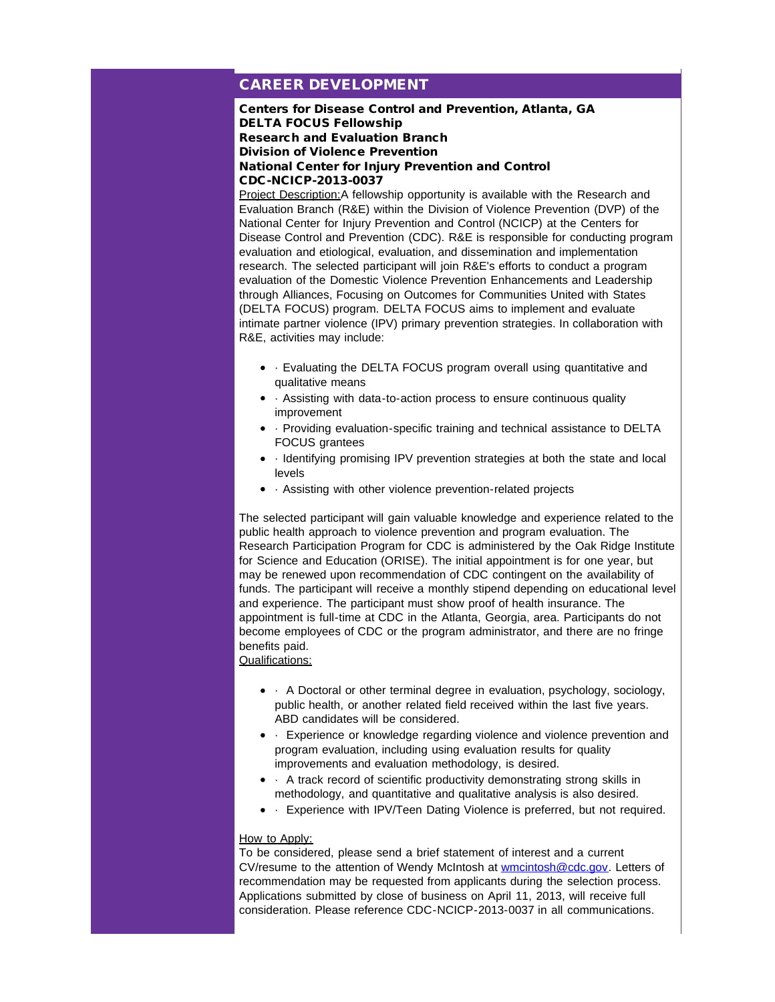# <span id="page-6-0"></span>CAREER DEVELOPMENT

# Centers for Disease Control and Prevention, Atlanta, GA DELTA FOCUS Fellowship Research and Evaluation Branch Division of Violence Prevention National Center for Injury Prevention and Control CDC-NCICP-2013-0037

Project Description: A fellowship opportunity is available with the Research and Evaluation Branch (R&E) within the Division of Violence Prevention (DVP) of the National Center for Injury Prevention and Control (NCICP) at the Centers for Disease Control and Prevention (CDC). R&E is responsible for conducting program evaluation and etiological, evaluation, and dissemination and implementation research. The selected participant will join R&E's efforts to conduct a program evaluation of the Domestic Violence Prevention Enhancements and Leadership through Alliances, Focusing on Outcomes for Communities United with States (DELTA FOCUS) program. DELTA FOCUS aims to implement and evaluate intimate partner violence (IPV) primary prevention strategies. In collaboration with R&E, activities may include:

- · Evaluating the DELTA FOCUS program overall using quantitative and qualitative means
- Assisting with data-to-action process to ensure continuous quality improvement
- · Providing evaluation-specific training and technical assistance to DELTA FOCUS grantees
- · Identifying promising IPV prevention strategies at both the state and local levels
- Assisting with other violence prevention-related projects

The selected participant will gain valuable knowledge and experience related to the public health approach to violence prevention and program evaluation. The Research Participation Program for CDC is administered by the Oak Ridge Institute for Science and Education (ORISE). The initial appointment is for one year, but may be renewed upon recommendation of CDC contingent on the availability of funds. The participant will receive a monthly stipend depending on educational level and experience. The participant must show proof of health insurance. The appointment is full-time at CDC in the Atlanta, Georgia, area. Participants do not become employees of CDC or the program administrator, and there are no fringe benefits paid.

Qualifications:

- A Doctoral or other terminal degree in evaluation, psychology, sociology, public health, or another related field received within the last five years. ABD candidates will be considered.
- · Experience or knowledge regarding violence and violence prevention and program evaluation, including using evaluation results for quality improvements and evaluation methodology, is desired.
- A track record of scientific productivity demonstrating strong skills in methodology, and quantitative and qualitative analysis is also desired.
- · Experience with IPV/Teen Dating Violence is preferred, but not required.

# How to Apply:

To be considered, please send a brief statement of interest and a current CV/resume to the attention of Wendy McIntosh at [wmcintosh@cdc.gov.](mailto:wmcintosh@cdc.gov) Letters of recommendation may be requested from applicants during the selection process. Applications submitted by close of business on April 11, 2013, will receive full consideration. Please reference CDC-NCICP-2013-0037 in all communications.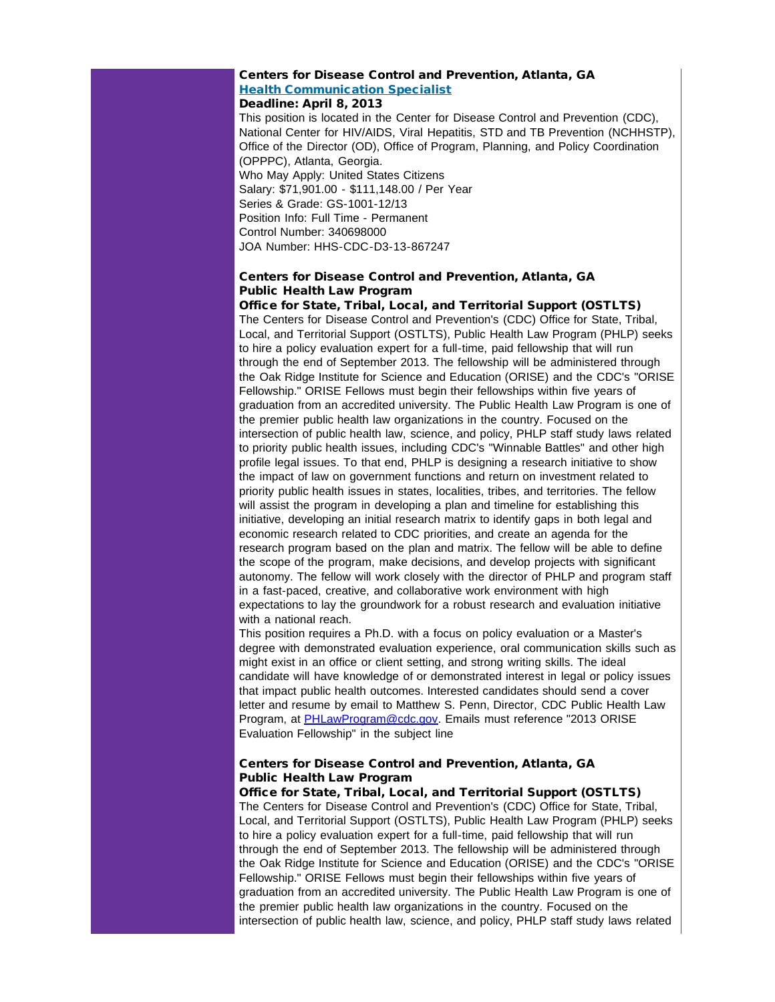# Centers for Disease Control and Prevention, Atlanta, GA **[Health Communication Specialist](http://r20.rs6.net/tn.jsp?e=001bpXOMOwMW5ybkkB-zFpjyTbYch8nyRMfFeCeaN09a9UnS2yAOyADCyjq7ciBW88064jhCSdIK07rXvjwY0y6d5bKy9BcYGtVwrbdcZ38TmrXf0xgtA7br9w2H7zOLjNzFqTlgu76H0B_tnPc0OpEyg==)**

# Deadline: April 8, 2013

This position is located in the Center for Disease Control and Prevention (CDC), National Center for HIV/AIDS, Viral Hepatitis, STD and TB Prevention (NCHHSTP), Office of the Director (OD), Office of Program, Planning, and Policy Coordination (OPPPC), Atlanta, Georgia. Who May Apply: United States Citizens Salary: \$71,901.00 - \$111,148.00 / Per Year Series & Grade: GS-1001-12/13 Position Info: Full Time - Permanent Control Number: 340698000 JOA Number: HHS-CDC-D3-13-867247

# Centers for Disease Control and Prevention, Atlanta, GA Public Health Law Program

Office for State, Tribal, Local, and Territorial Support (OSTLTS) The Centers for Disease Control and Prevention's (CDC) Office for State, Tribal, Local, and Territorial Support (OSTLTS), Public Health Law Program (PHLP) seeks to hire a policy evaluation expert for a full-time, paid fellowship that will run through the end of September 2013. The fellowship will be administered through the Oak Ridge Institute for Science and Education (ORISE) and the CDC's "ORISE Fellowship." ORISE Fellows must begin their fellowships within five years of graduation from an accredited university. The Public Health Law Program is one of the premier public health law organizations in the country. Focused on the intersection of public health law, science, and policy, PHLP staff study laws related to priority public health issues, including CDC's "Winnable Battles" and other high profile legal issues. To that end, PHLP is designing a research initiative to show the impact of law on government functions and return on investment related to priority public health issues in states, localities, tribes, and territories. The fellow will assist the program in developing a plan and timeline for establishing this initiative, developing an initial research matrix to identify gaps in both legal and economic research related to CDC priorities, and create an agenda for the research program based on the plan and matrix. The fellow will be able to define the scope of the program, make decisions, and develop projects with significant autonomy. The fellow will work closely with the director of PHLP and program staff in a fast-paced, creative, and collaborative work environment with high expectations to lay the groundwork for a robust research and evaluation initiative with a national reach.

This position requires a Ph.D. with a focus on policy evaluation or a Master's degree with demonstrated evaluation experience, oral communication skills such as might exist in an office or client setting, and strong writing skills. The ideal candidate will have knowledge of or demonstrated interest in legal or policy issues that impact public health outcomes. Interested candidates should send a cover letter and resume by email to Matthew S. Penn, Director, CDC Public Health Law Program, at [PHLawProgram@cdc.gov](mailto:PHLawProgram@cdc.gov). Emails must reference "2013 ORISE Evaluation Fellowship" in the subject line

# Centers for Disease Control and Prevention, Atlanta, GA Public Health Law Program

Office for State, Tribal, Local, and Territorial Support (OSTLTS) The Centers for Disease Control and Prevention's (CDC) Office for State, Tribal, Local, and Territorial Support (OSTLTS), Public Health Law Program (PHLP) seeks to hire a policy evaluation expert for a full-time, paid fellowship that will run through the end of September 2013. The fellowship will be administered through the Oak Ridge Institute for Science and Education (ORISE) and the CDC's "ORISE Fellowship." ORISE Fellows must begin their fellowships within five years of graduation from an accredited university. The Public Health Law Program is one of the premier public health law organizations in the country. Focused on the intersection of public health law, science, and policy, PHLP staff study laws related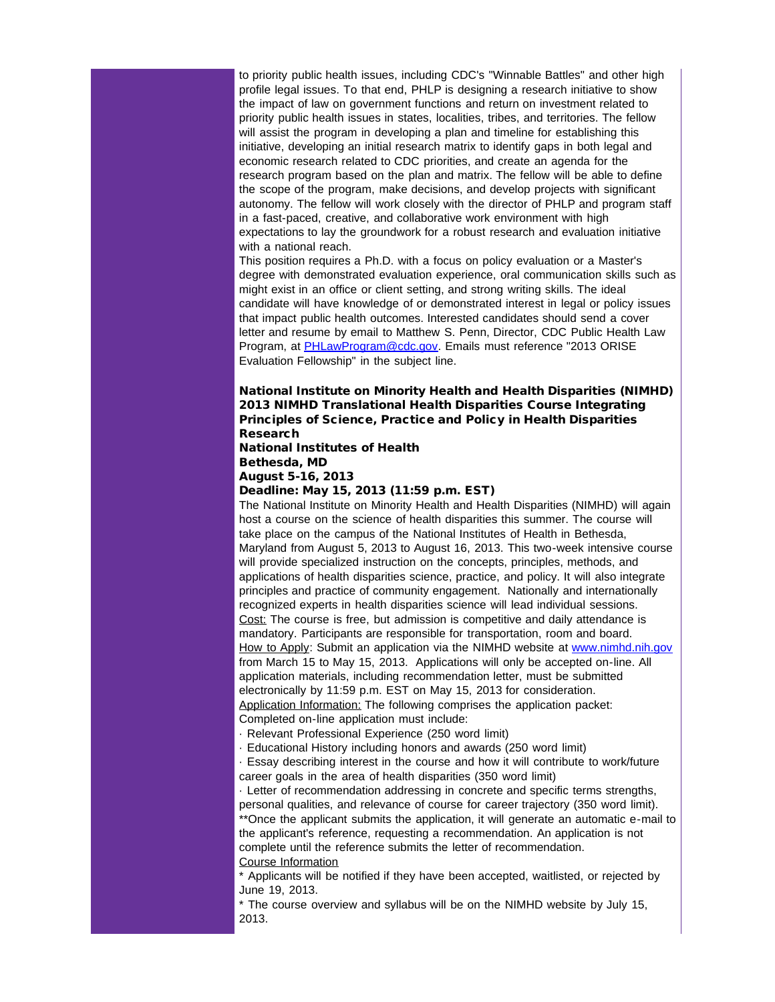to priority public health issues, including CDC's "Winnable Battles" and other high profile legal issues. To that end, PHLP is designing a research initiative to show the impact of law on government functions and return on investment related to priority public health issues in states, localities, tribes, and territories. The fellow will assist the program in developing a plan and timeline for establishing this initiative, developing an initial research matrix to identify gaps in both legal and economic research related to CDC priorities, and create an agenda for the research program based on the plan and matrix. The fellow will be able to define the scope of the program, make decisions, and develop projects with significant autonomy. The fellow will work closely with the director of PHLP and program staff in a fast-paced, creative, and collaborative work environment with high expectations to lay the groundwork for a robust research and evaluation initiative with a national reach.

This position requires a Ph.D. with a focus on policy evaluation or a Master's degree with demonstrated evaluation experience, oral communication skills such as might exist in an office or client setting, and strong writing skills. The ideal candidate will have knowledge of or demonstrated interest in legal or policy issues that impact public health outcomes. Interested candidates should send a cover letter and resume by email to Matthew S. Penn, Director, CDC Public Health Law Program, at [PHLawProgram@cdc.gov](mailto:PHLawProgram@cdc.gov). Emails must reference "2013 ORISE Evaluation Fellowship" in the subject line.

#### National Institute on Minority Health and Health Disparities (NIMHD) 2013 NIMHD Translational Health Disparities Course Integrating Principles of Science, Practice and Policy in Health Disparities Research

National Institutes of Health

Bethesda, MD

August 5-16, 2013

#### Deadline: May 15, 2013 (11:59 p.m. EST)

The National Institute on Minority Health and Health Disparities (NIMHD) will again host a course on the science of health disparities this summer. The course will take place on the campus of the National Institutes of Health in Bethesda, Maryland from August 5, 2013 to August 16, 2013. This two-week intensive course will provide specialized instruction on the concepts, principles, methods, and applications of health disparities science, practice, and policy. It will also integrate principles and practice of community engagement. Nationally and internationally recognized experts in health disparities science will lead individual sessions. Cost: The course is free, but admission is competitive and daily attendance is mandatory. Participants are responsible for transportation, room and board. How to Apply: Submit an application via the NIMHD website at [www.nimhd.nih.gov](http://r20.rs6.net/tn.jsp?e=001bpXOMOwMW5xCDSl6ToK8UtAA6FsE2tU3frC-dvMgl3FsxS58fPLW95dn9coE43uZ1zlq1Z6XDpN3EAhhGHfOOUkv35aGopPsPxuSQqYqVpc=) from March 15 to May 15, 2013. Applications will only be accepted on-line. All application materials, including recommendation letter, must be submitted electronically by 11:59 p.m. EST on May 15, 2013 for consideration. Application Information: The following comprises the application packet: Completed on-line application must include:

· Relevant Professional Experience (250 word limit)

· Educational History including honors and awards (250 word limit)

· Essay describing interest in the course and how it will contribute to work/future career goals in the area of health disparities (350 word limit)

· Letter of recommendation addressing in concrete and specific terms strengths, personal qualities, and relevance of course for career trajectory (350 word limit). \*\*Once the applicant submits the application, it will generate an automatic e-mail to the applicant's reference, requesting a recommendation. An application is not complete until the reference submits the letter of recommendation. Course Information

\* Applicants will be notified if they have been accepted, waitlisted, or rejected by June 19, 2013.

\* The course overview and syllabus will be on the NIMHD website by July 15, 2013.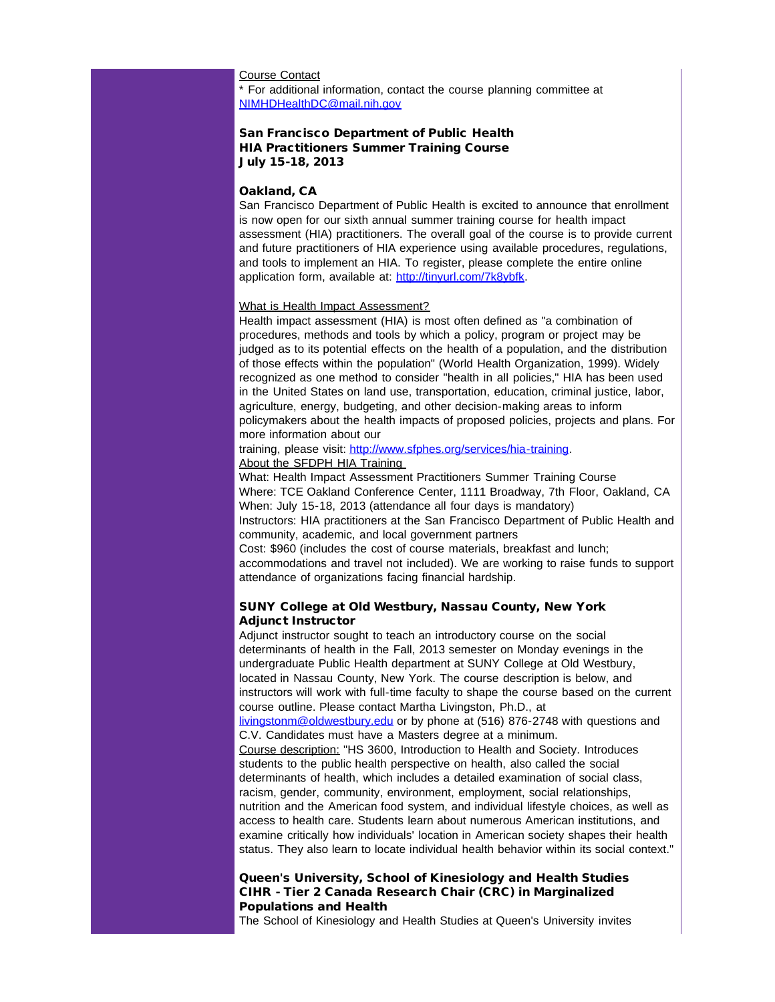Course Contact

\* For additional information, contact the course planning committee at [NIMHDHealthDC@mail.nih.gov](mailto:NIMHDHealthDC@mail.nih.gov)

# San Francisco Department of Public Health HIA Practitioners Summer Training Course July 15-18, 2013

#### Oakland, CA

San Francisco Department of Public Health is excited to announce that enrollment is now open for our sixth annual summer training course for health impact assessment (HIA) practitioners. The overall goal of the course is to provide current and future practitioners of HIA experience using available procedures, regulations, and tools to implement an HIA. To register, please complete the entire online application form, available at: [http://tinyurl.com/7k8ybfk](http://r20.rs6.net/tn.jsp?e=001bpXOMOwMW5wwMlQsSMJbkpx4BQOgtvqysE4GxQhobMBviUiJM4ekwHip_1Mdh1QyIVN7O0xnMsaayBcDTPBHQjUpTClHqHtP_cDsMgd7uq_L_UzID4JRNQ==).

What is Health Impact Assessment?

Health impact assessment (HIA) is most often defined as "a combination of procedures, methods and tools by which a policy, program or project may be judged as to its potential effects on the health of a population, and the distribution of those effects within the population" (World Health Organization, 1999). Widely recognized as one method to consider "health in all policies," HIA has been used in the United States on land use, transportation, education, criminal justice, labor, agriculture, energy, budgeting, and other decision-making areas to inform policymakers about the health impacts of proposed policies, projects and plans. For more information about our

training, please visit: [http://www.sfphes.org/services/hia-training](http://r20.rs6.net/tn.jsp?e=001bpXOMOwMW5ynBrNxcHgro0rJIh2lRDGipFKDKmPEjrKAv4Q9MLUODSvVd0bT71Xm8MseDdZ5nlBIP0NpyddYh4dEMWLgVneB3-Kz4xUEEdO_VMAVHfJ_IzeYaQXGezswXPsdQ6W3Yxc=).

About the SFDPH HIA Training

What: Health Impact Assessment Practitioners Summer Training Course Where: TCE Oakland Conference Center, 1111 Broadway, 7th Floor, Oakland, CA When: July 15-18, 2013 (attendance all four days is mandatory) Instructors: HIA practitioners at the San Francisco Department of Public Health and community, academic, and local government partners Cost: \$960 (includes the cost of course materials, breakfast and lunch; accommodations and travel not included). We are working to raise funds to support attendance of organizations facing financial hardship.

# SUNY College at Old Westbury, Nassau County, New York Adjunct Instructor

Adjunct instructor sought to teach an introductory course on the social determinants of health in the Fall, 2013 semester on Monday evenings in the undergraduate Public Health department at SUNY College at Old Westbury, located in Nassau County, New York. The course description is below, and instructors will work with full-time faculty to shape the course based on the current course outline. Please contact Martha Livingston, Ph.D., at

[livingstonm@oldwestbury.edu](mailto:livingstonm@oldwestbury.edu) or by phone at (516) 876-2748 with questions and C.V. Candidates must have a Masters degree at a minimum.

Course description: "HS 3600, Introduction to Health and Society. Introduces students to the public health perspective on health, also called the social determinants of health, which includes a detailed examination of social class, racism, gender, community, environment, employment, social relationships, nutrition and the American food system, and individual lifestyle choices, as well as access to health care. Students learn about numerous American institutions, and examine critically how individuals' location in American society shapes their health status. They also learn to locate individual health behavior within its social context."

# Queen's University, School of Kinesiology and Health Studies CIHR - Tier 2 Canada Research Chair (CRC) in Marginalized Populations and Health

The School of Kinesiology and Health Studies at Queen's University invites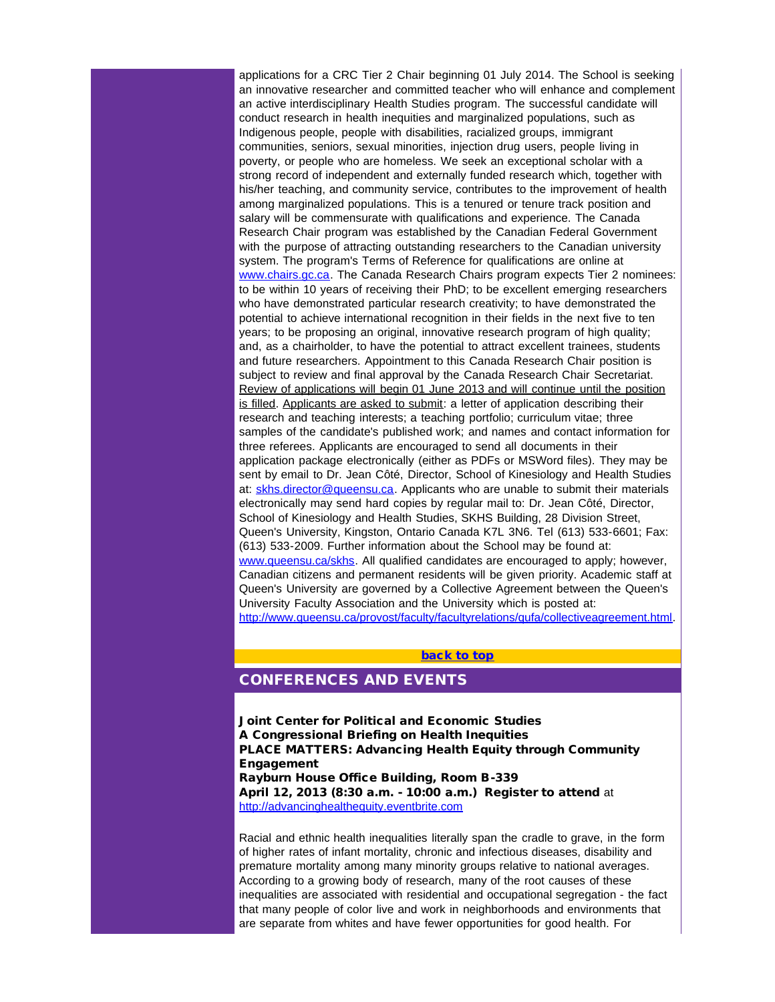applications for a CRC Tier 2 Chair beginning 01 July 2014. The School is seeking an innovative researcher and committed teacher who will enhance and complement an active interdisciplinary Health Studies program. The successful candidate will conduct research in health inequities and marginalized populations, such as Indigenous people, people with disabilities, racialized groups, immigrant communities, seniors, sexual minorities, injection drug users, people living in poverty, or people who are homeless. We seek an exceptional scholar with a strong record of independent and externally funded research which, together with his/her teaching, and community service, contributes to the improvement of health among marginalized populations. This is a tenured or tenure track position and salary will be commensurate with qualifications and experience. The Canada Research Chair program was established by the Canadian Federal Government with the purpose of attracting outstanding researchers to the Canadian university system. The program's Terms of Reference for qualifications are online at [www.chairs.gc.ca.](http://r20.rs6.net/tn.jsp?e=001bpXOMOwMW5ye9vgCZ_3aGiNFj34Qly3ouoEgweV6er8tTzfTv-SlYBydGHNzlneFowyEp_Sp0Fj_W0a9p5EZiIZS3IdGquqh9GUv3o4io4c=) The Canada Research Chairs program expects Tier 2 nominees: to be within 10 years of receiving their PhD; to be excellent emerging researchers who have demonstrated particular research creativity; to have demonstrated the potential to achieve international recognition in their fields in the next five to ten years; to be proposing an original, innovative research program of high quality; and, as a chairholder, to have the potential to attract excellent trainees, students and future researchers. Appointment to this Canada Research Chair position is subject to review and final approval by the Canada Research Chair Secretariat. Review of applications will begin 01 June 2013 and will continue until the position is filled. Applicants are asked to submit: a letter of application describing their research and teaching interests; a teaching portfolio; curriculum vitae; three samples of the candidate's published work; and names and contact information for three referees. Applicants are encouraged to send all documents in their application package electronically (either as PDFs or MSWord files). They may be sent by email to Dr. Jean Côté, Director, School of Kinesiology and Health Studies at: [skhs.director@queensu.ca](mailto:skhs.director@queensu.ca). Applicants who are unable to submit their materials electronically may send hard copies by regular mail to: Dr. Jean Côté, Director, School of Kinesiology and Health Studies, SKHS Building, 28 Division Street, Queen's University, Kingston, Ontario Canada K7L 3N6. Tel (613) 533-6601; Fax: (613) 533-2009. Further information about the School may be found at: [www.queensu.ca/skhs.](http://r20.rs6.net/tn.jsp?e=001bpXOMOwMW5xgImx4cKrx7lqoPL0PNntnwam0tqDZniNcF9gkd1PXzenwxGT4UxnqJFpS29Rvd8RIRzNIyzck1H02tNlZrTu2Ntj8KpjZxErNsnjGkb8Kig==) All qualified candidates are encouraged to apply; however, Canadian citizens and permanent residents will be given priority. Academic staff at Queen's University are governed by a Collective Agreement between the Queen's University Faculty Association and the University which is posted at: [http://www.queensu.ca/provost/faculty/facultyrelations/qufa/collectiveagreement.html.](http://r20.rs6.net/tn.jsp?e=001bpXOMOwMW5w94JaibpPjtLAyJVjW64qsH-xSGAgmHGMhFrzITCYyRy5nb8a8dwdKLE9zMrYNCYodpx_DK06PzyZgmUWWdfRTYE67rOsqgc3gU4O5YRwNiSfiyMEErJWL-YmIQI9Qz94yKFZawRLtwuXI4t51h0l_5R7VAqRI6JbUrDiruEr6Ws47hUlPKWS4mMoCqJhtedQ=)

[back to top](#page-0-4)

# <span id="page-10-0"></span>CONFERENCES AND EVENTS

Joint Center for Political and Economic Studies A Congressional Briefing on Health Inequities PLACE MATTERS: Advancing Health Equity through Community Engagement Rayburn House Office Building, Room B-339 April 12, 2013 (8:30 a.m. - 10:00 a.m.) Register to attend at [http://advancinghealthequity.eventbrite.com](http://r20.rs6.net/tn.jsp?e=001bpXOMOwMW5wtufc2a4jkenqvLpsRY6JHc4Hm0TUQiZ4G36V0iilo0k0Hx-Gs81LnNZIQJ425M6wz6NrwHEITMqsna38yBEZ0u998FM-BdOsYFm1k71w4fMEGEUj2e_j-knldv-EDH4VX5i-T2qGIqb0h03MpI7If19QUJrKg769LX6fR-0cAK4JK_sBGrDWL)

Racial and ethnic health inequalities literally span the cradle to grave, in the form of higher rates of infant mortality, chronic and infectious diseases, disability and premature mortality among many minority groups relative to national averages. According to a growing body of research, many of the root causes of these inequalities are associated with residential and occupational segregation - the fact that many people of color live and work in neighborhoods and environments that are separate from whites and have fewer opportunities for good health. For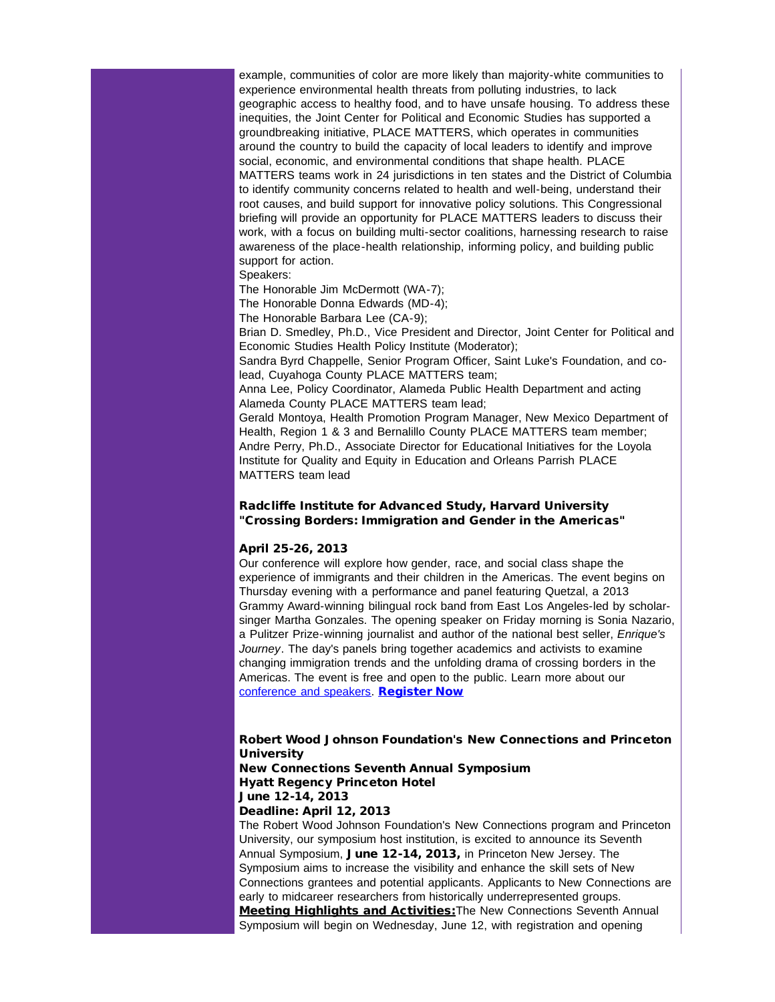example, communities of color are more likely than majority-white communities to experience environmental health threats from polluting industries, to lack geographic access to healthy food, and to have unsafe housing. To address these inequities, the Joint Center for Political and Economic Studies has supported a groundbreaking initiative, PLACE MATTERS, which operates in communities around the country to build the capacity of local leaders to identify and improve social, economic, and environmental conditions that shape health. PLACE MATTERS teams work in 24 jurisdictions in ten states and the District of Columbia to identify community concerns related to health and well-being, understand their root causes, and build support for innovative policy solutions. This Congressional briefing will provide an opportunity for PLACE MATTERS leaders to discuss their work, with a focus on building multi-sector coalitions, harnessing research to raise awareness of the place-health relationship, informing policy, and building public support for action.

Speakers:

The Honorable Jim McDermott (WA-7);

The Honorable Donna Edwards (MD-4);

The Honorable Barbara Lee (CA-9);

Brian D. Smedley, Ph.D., Vice President and Director, Joint Center for Political and Economic Studies Health Policy Institute (Moderator);

Sandra Byrd Chappelle, Senior Program Officer, Saint Luke's Foundation, and colead, Cuyahoga County PLACE MATTERS team;

Anna Lee, Policy Coordinator, Alameda Public Health Department and acting Alameda County PLACE MATTERS team lead;

Gerald Montoya, Health Promotion Program Manager, New Mexico Department of Health, Region 1 & 3 and Bernalillo County PLACE MATTERS team member; Andre Perry, Ph.D., Associate Director for Educational Initiatives for the Loyola Institute for Quality and Equity in Education and Orleans Parrish PLACE MATTERS team lead

### Radcliffe Institute for Advanced Study, Harvard University "Crossing Borders: Immigration and Gender in the Americas"

### April 25-26, 2013

Our conference will explore how gender, race, and social class shape the experience of immigrants and their children in the Americas. The event begins on Thursday evening with a performance and panel featuring Quetzal, a 2013 Grammy Award-winning bilingual rock band from East Los Angeles-led by scholarsinger Martha Gonzales. The opening speaker on Friday morning is Sonia Nazario, a Pulitzer Prize-winning journalist and author of the national best seller, *Enrique's Journey*. The day's panels bring together academics and activists to examine changing immigration trends and the unfolding drama of crossing borders in the Americas. The event is free and open to the public. Learn more about our [conference and speakers](http://r20.rs6.net/tn.jsp?e=001bpXOMOwMW5xP05bfEqZDiq3wK7wou7-iGLc7kuxNU0q0DUt9xPbzo5ud0IBO2EuIAbr6MVi2MEV23RiBti5-G37Bl4QcyBZTdHZkp7j1a7C7sGLdYYBE5aK6GSeZDUDOHgoMnbpVYmDktre-8Cn2wuJraJSph0UEOi3kpH-lEoWo_M0Z6fsz-ZevjY4WSAxMuB9btksxjWk=). [Register Now](http://r20.rs6.net/tn.jsp?e=001bpXOMOwMW5zgqX0qox0QYp5-aC2-OOF1Z7LkhvZfm4wUpaG1d_xZ5-FiBhTbNljj_nx8_7p3ffSFe4rMdALR0WUMEj2a0u6zlZteWbK8R-8R7GvCiqnQp2_1WqIKnoKYwLGZjc__YIm9NMJndIdFeYiQ5D2QHcVq)

# Robert Wood Johnson Foundation's New Connections and Princeton **University**

New Connections Seventh Annual Symposium Hyatt Regency Princeton Hotel

June 12-14, 2013

Deadline: April 12, 2013

The Robert Wood Johnson Foundation's New Connections program and Princeton University, our symposium host institution, is excited to announce its Seventh Annual Symposium, June 12-14, 2013, in Princeton New Jersey. The Symposium aims to increase the visibility and enhance the skill sets of New Connections grantees and potential applicants. Applicants to New Connections are early to midcareer researchers from historically underrepresented groups. Meeting Highlights and Activities:The New Connections Seventh Annual Symposium will begin on Wednesday, June 12, with registration and opening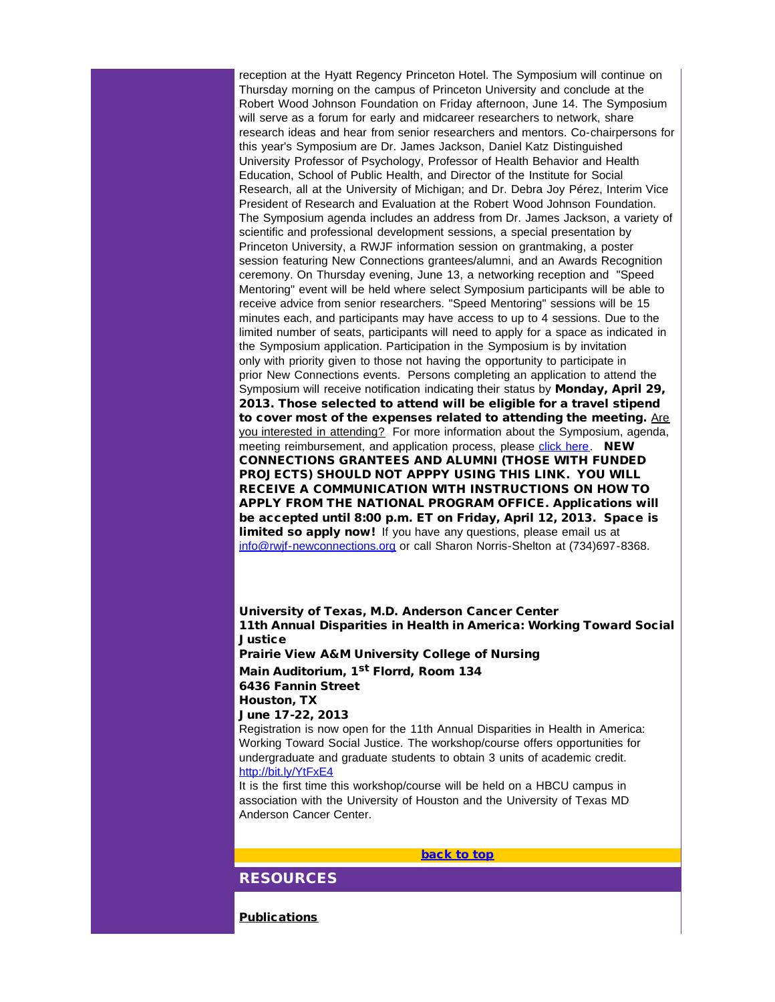reception at the Hyatt Regency Princeton Hotel. The Symposium will continue on Thursday morning on the campus of Princeton University and conclude at the Robert Wood Johnson Foundation on Friday afternoon, June 14. The Symposium will serve as a forum for early and midcareer researchers to network, share research ideas and hear from senior researchers and mentors. Co-chairpersons for this year's Symposium are Dr. James Jackson, Daniel Katz Distinguished University Professor of Psychology, Professor of Health Behavior and Health Education, School of Public Health, and Director of the Institute for Social Research, all at the University of Michigan; and Dr. Debra Joy Pérez, Interim Vice President of Research and Evaluation at the Robert Wood Johnson Foundation. The Symposium agenda includes an address from Dr. James Jackson, a variety of scientific and professional development sessions, a special presentation by Princeton University, a RWJF information session on grantmaking, a poster session featuring New Connections grantees/alumni, and an Awards Recognition ceremony. On Thursday evening, June 13, a networking reception and "Speed Mentoring" event will be held where select Symposium participants will be able to receive advice from senior researchers. "Speed Mentoring" sessions will be 15 minutes each, and participants may have access to up to 4 sessions. Due to the limited number of seats, participants will need to apply for a space as indicated in the Symposium application. Participation in the Symposium is by invitation only with priority given to those not having the opportunity to participate in prior New Connections events. Persons completing an application to attend the Symposium will receive notification indicating their status by Monday, April 29, 2013. Those selected to attend will be eligible for a travel stipend to cover most of the expenses related to attending the meeting. Are you interested in attending? For more information about the Symposium, agenda, meeting reimbursement, and application process, please [click here.](http://r20.rs6.net/tn.jsp?e=001_JoeTvkriK13ATXsbeqWf0rPzgwa1wvRoSt7fRyarFLs3v__wdyQ3srUOd_n6UPUtDDAE8-jZRpZaTZ1oLbQ57vdwJ6nHNfVy1DIIdvcH2VytKNdM2b4ymzUU_OARoAk45z6I5BKRu3eYBBEkLKSSw==) NEW CONNECTIONS GRANTEES AND ALUMNI (THOSE WITH FUNDED PROJECTS) SHOULD NOT APPPY USING THIS LINK. YOU WILL RECEIVE A COMMUNICATION WITH INSTRUCTIONS ON HOW TO APPLY FROM THE NATIONAL PROGRAM OFFICE. Applications will be accepted until 8:00 p.m. ET on Friday, April 12, 2013. Space is limited so apply now! If you have any questions, please email us at [info@rwjf-newconnections.org](mailto:info@rwjf-newconnections.org) or call Sharon Norris-Shelton at (734)697-8368.

<span id="page-12-0"></span>University of Texas, M.D. Anderson Cancer Center 11th Annual Disparities in Health in America: Working Toward Social **Justice** Prairie View A&M University College of Nursing Main Auditorium, 1st Florrd, Room 134 6436 Fannin Street Houston, TX June 17-22, 2013

Registration is now open for the 11th Annual Disparities in Health in America: Working Toward Social Justice. The workshop/course offers opportunities for undergraduate and graduate students to obtain 3 units of academic credit. [http://bit.ly/YtFxE4](http://r20.rs6.net/tn.jsp?t=guebsqmab.0.zvkfsqmab.5gytkqcab.1&ts=S0897&p=http%3A%2F%2Fwww.mdanderson.org%2Feducation-and-research%2Feducation-and-training%2Fschools-and-programs%2Fcme-conference-management%2Fconferences%2Fcme%2Fconference-management-11th-annual-disparities-in-health-in-the-global-context-summer-workshop-2013.html)

It is the first time this workshop/course will be held on a HBCU campus in association with the University of Houston and the University of Texas MD Anderson Cancer Center.

[back to top](#page-0-4)

# RESOURCES

**Publications**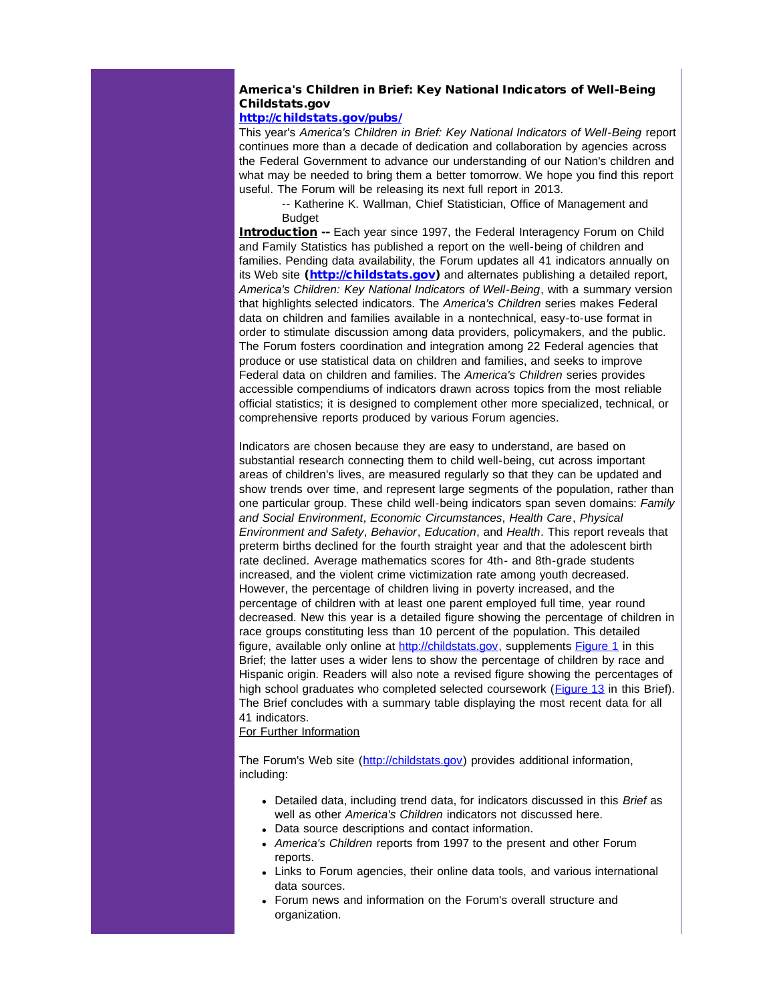# America's Children in Brief: Key National Indicators of Well-Being Childstats.gov

# [http://childstats.gov/pubs/](http://r20.rs6.net/tn.jsp?t=guebsqmab.0.9vkfsqmab.5gytkqcab.1&ts=S0897&p=http%3A%2F%2Fchildstats.gov%2Fpubs%2F)

This year's *America's Children in Brief: Key National Indicators of Well-Being* report continues more than a decade of dedication and collaboration by agencies across the Federal Government to advance our understanding of our Nation's children and what may be needed to bring them a better tomorrow. We hope you find this report useful. The Forum will be releasing its next full report in 2013.

-- Katherine K. Wallman, Chief Statistician, Office of Management and **Budget** 

**Introduction** -- Each year since 1997, the Federal Interagency Forum on Child and Family Statistics has published a report on the well-being of children and families. Pending data availability, the Forum updates all 41 indicators annually on its Web site ([http://childstats.gov](http://r20.rs6.net/tn.jsp?t=guebsqmab.0.8vkfsqmab.5gytkqcab.1&ts=S0897&p=http%3A%2F%2Fchildstats.gov)) and alternates publishing a detailed report, *America's Children: Key National Indicators of Well-Being*, with a summary version that highlights selected indicators. The *America's Children* series makes Federal data on children and families available in a nontechnical, easy-to-use format in order to stimulate discussion among data providers, policymakers, and the public. The Forum fosters coordination and integration among 22 Federal agencies that produce or use statistical data on children and families, and seeks to improve Federal data on children and families. The *America's Children* series provides accessible compendiums of indicators drawn across topics from the most reliable official statistics; it is designed to complement other more specialized, technical, or comprehensive reports produced by various Forum agencies.

Indicators are chosen because they are easy to understand, are based on substantial research connecting them to child well-being, cut across important areas of children's lives, are measured regularly so that they can be updated and show trends over time, and represent large segments of the population, rather than one particular group. These child well-being indicators span seven domains: *Family and Social Environment*, *Economic Circumstances*, *Health Care*, *Physical Environment and Safety*, *Behavior*, *Education*, and *Health*. This report reveals that preterm births declined for the fourth straight year and that the adolescent birth rate declined. Average mathematics scores for 4th- and 8th-grade students increased, and the violent crime victimization rate among youth decreased. However, the percentage of children living in poverty increased, and the percentage of children with at least one parent employed full time, year round decreased. New this year is a detailed figure showing the percentage of children in race groups constituting less than 10 percent of the population. This detailed figure, available only online at [http://childstats.gov](http://r20.rs6.net/tn.jsp?t=guebsqmab.0.8vkfsqmab.5gytkqcab.1&ts=S0897&p=http%3A%2F%2Fchildstats.gov), supplements [Figure 1](http://r20.rs6.net/tn.jsp?t=guebsqmab.0.7vkfsqmab.5gytkqcab.1&ts=S0897&p=http%3A%2F%2Fchildstats.gov%2Famericaschildren%2Fdemo.asp%23pop1) in this Brief; the latter uses a wider lens to show the percentage of children by race and Hispanic origin. Readers will also note a revised figure showing the percentages of high school graduates who completed selected coursework ([Figure 13](http://r20.rs6.net/tn.jsp?t=guebsqmab.0.6vkfsqmab.5gytkqcab.1&ts=S0897&p=http%3A%2F%2Fchildstats.gov%2Famericaschildren%2Fedu.asp%23ed3) in this Brief). The Brief concludes with a summary table displaying the most recent data for all 41 indicators.

For Further Information

The Forum's Web site ([http://childstats.gov\)](http://r20.rs6.net/tn.jsp?t=guebsqmab.0.8vkfsqmab.5gytkqcab.1&ts=S0897&p=http%3A%2F%2Fchildstats.gov) provides additional information, including:

- Detailed data, including trend data, for indicators discussed in this *Brief* as well as other *America's Children* indicators not discussed here.
- Data source descriptions and contact information.
- *America's Children* reports from 1997 to the present and other Forum reports.
- Links to Forum agencies, their online data tools, and various international data sources.
- Forum news and information on the Forum's overall structure and organization.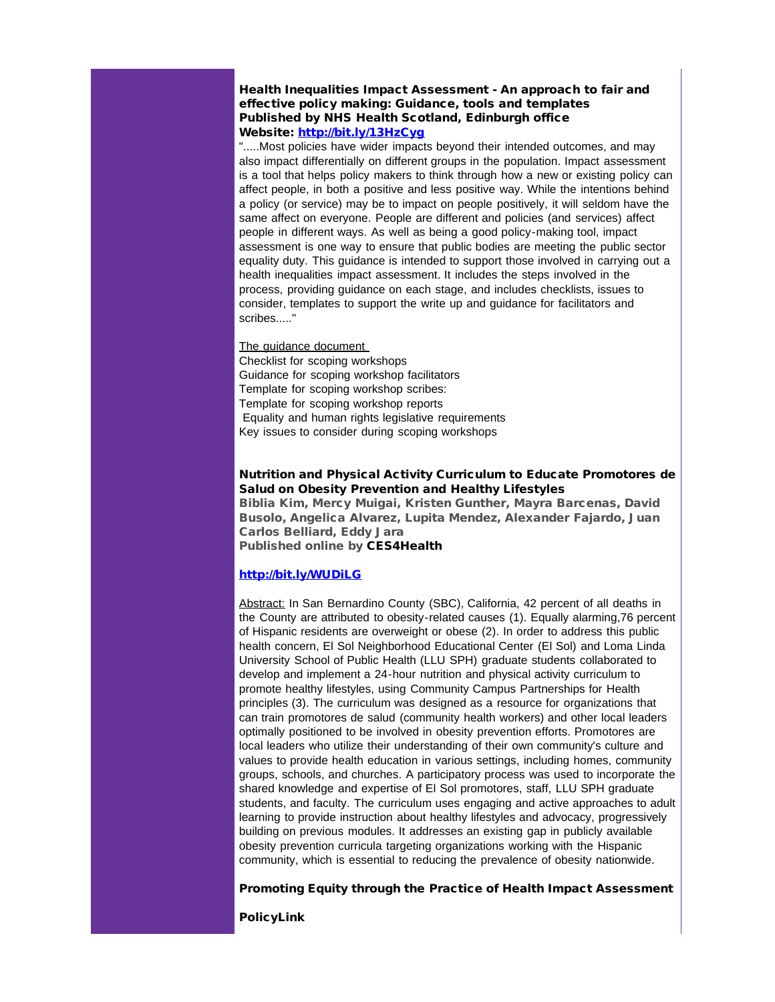# Health Inequalities Impact Assessment - An approach to fair and effective policy making: Guidance, tools and templates Published by NHS Health Scotland, Edinburgh office Website: [http://bit.ly/13HzCyg](http://r20.rs6.net/tn.jsp?t=guebsqmab.0.5vkfsqmab.5gytkqcab.1&ts=S0897&p=http%3A%2F%2Fbit.ly%2F13HzCyg)

".....Most policies have wider impacts beyond their intended outcomes, and may also impact differentially on different groups in the population. Impact assessment is a tool that helps policy makers to think through how a new or existing policy can affect people, in both a positive and less positive way. While the intentions behind a policy (or service) may be to impact on people positively, it will seldom have the same affect on everyone. People are different and policies (and services) affect people in different ways. As well as being a good policy-making tool, impact assessment is one way to ensure that public bodies are meeting the public sector equality duty. This guidance is intended to support those involved in carrying out a health inequalities impact assessment. It includes the steps involved in the process, providing guidance on each stage, and includes checklists, issues to consider, templates to support the write up and guidance for facilitators and scribes....."

The guidance document Checklist for scoping workshops Guidance for scoping workshop facilitators Template for scoping workshop scribes: Template for scoping workshop reports Equality and human rights legislative requirements Key issues to consider during scoping workshops

# Nutrition and Physical Activity Curriculum to Educate Promotores de Salud on Obesity Prevention and Healthy Lifestyles

Biblia Kim, Mercy Muigai, Kristen Gunther, Mayra Barcenas, David Busolo, Angelica Alvarez, Lupita Mendez, Alexander Fajardo, Juan Carlos Belliard, Eddy Jara

Published online by CES4Health

# [http://bit.ly/WUDiLG](http://r20.rs6.net/tn.jsp?t=guebsqmab.0.4vkfsqmab.5gytkqcab.1&ts=S0897&p=http%3A%2F%2Fbit.ly%2FWUDiLG)

Abstract: In San Bernardino County (SBC), California, 42 percent of all deaths in the County are attributed to obesity-related causes (1). Equally alarming,76 percent of Hispanic residents are overweight or obese (2). In order to address this public health concern, El Sol Neighborhood Educational Center (El Sol) and Loma Linda University School of Public Health (LLU SPH) graduate students collaborated to develop and implement a 24-hour nutrition and physical activity curriculum to promote healthy lifestyles, using Community Campus Partnerships for Health principles (3). The curriculum was designed as a resource for organizations that can train promotores de salud (community health workers) and other local leaders optimally positioned to be involved in obesity prevention efforts. Promotores are local leaders who utilize their understanding of their own community's culture and values to provide health education in various settings, including homes, community groups, schools, and churches. A participatory process was used to incorporate the shared knowledge and expertise of El Sol promotores, staff, LLU SPH graduate students, and faculty. The curriculum uses engaging and active approaches to adult learning to provide instruction about healthy lifestyles and advocacy, progressively building on previous modules. It addresses an existing gap in publicly available obesity prevention curricula targeting organizations working with the Hispanic community, which is essential to reducing the prevalence of obesity nationwide.

# Promoting Equity through the Practice of Health Impact Assessment

PolicyLink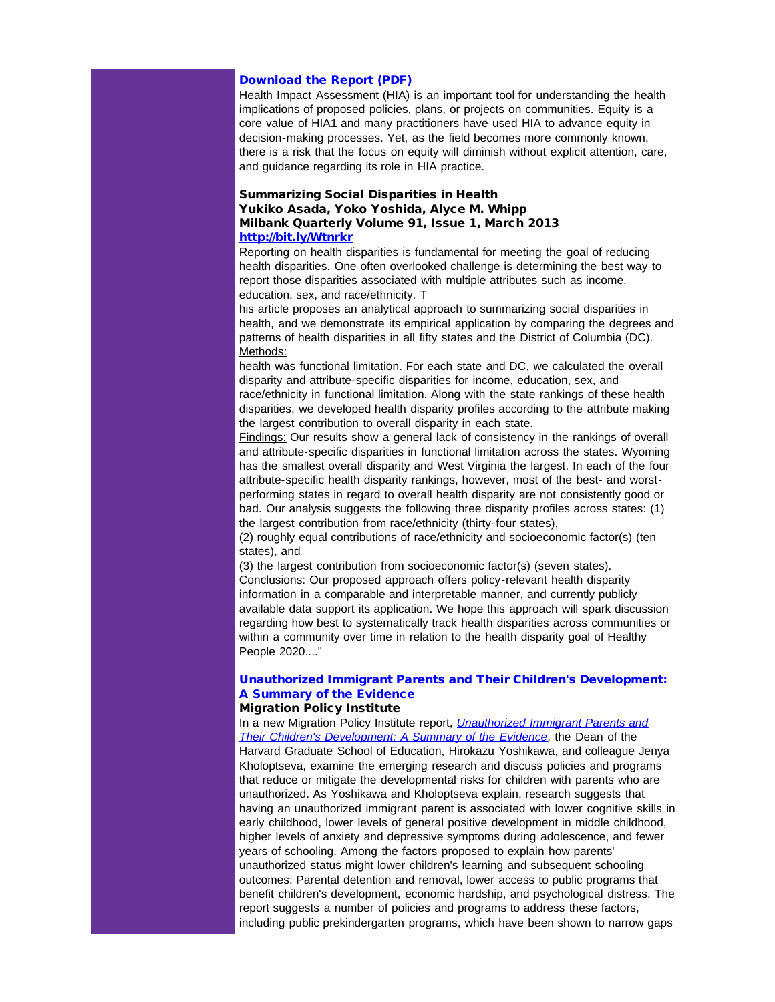#### [Download the Report \(PDF\)](http://r20.rs6.net/tn.jsp?t=guebsqmab.0.awkfsqmab.5gytkqcab.1&ts=S0897&p=http%3A%2F%2Fwww.policylink.org%2Fatf%2Fcf%2F%257b97c6d565-bb43-406d-a6d5-eca3bbf35af0%257d%2FPROMOTINGEQUITYHIA_FINAL.PDF)

Health Impact Assessment (HIA) is an important tool for understanding the health implications of proposed policies, plans, or projects on communities. Equity is a core value of HIA1 and many practitioners have used HIA to advance equity in decision-making processes. Yet, as the field becomes more commonly known, there is a risk that the focus on equity will diminish without explicit attention, care, and guidance regarding its role in HIA practice.

### Summarizing Social Disparities in Health Yukiko Asada, Yoko Yoshida, Alyce M. Whipp Milbank Quarterly Volume 91, Issue 1, March 2013 [http://bit.ly/Wtnrkr](http://r20.rs6.net/tn.jsp?t=guebsqmab.0.bwkfsqmab.5gytkqcab.1&ts=S0897&p=http%3A%2F%2Fbit.ly%2FWtnrkr)

Reporting on health disparities is fundamental for meeting the goal of reducing health disparities. One often overlooked challenge is determining the best way to report those disparities associated with multiple attributes such as income, education, sex, and race/ethnicity. T

his article proposes an analytical approach to summarizing social disparities in health, and we demonstrate its empirical application by comparing the degrees and patterns of health disparities in all fifty states and the District of Columbia (DC). Methods:

health was functional limitation. For each state and DC, we calculated the overall disparity and attribute-specific disparities for income, education, sex, and race/ethnicity in functional limitation. Along with the state rankings of these health disparities, we developed health disparity profiles according to the attribute making the largest contribution to overall disparity in each state.

Findings: Our results show a general lack of consistency in the rankings of overall and attribute-specific disparities in functional limitation across the states. Wyoming has the smallest overall disparity and West Virginia the largest. In each of the four attribute-specific health disparity rankings, however, most of the best- and worstperforming states in regard to overall health disparity are not consistently good or bad. Our analysis suggests the following three disparity profiles across states: (1) the largest contribution from race/ethnicity (thirty-four states),

(2) roughly equal contributions of race/ethnicity and socioeconomic factor(s) (ten states), and

(3) the largest contribution from socioeconomic factor(s) (seven states). Conclusions: Our proposed approach offers policy-relevant health disparity information in a comparable and interpretable manner, and currently publicly available data support its application. We hope this approach will spark discussion regarding how best to systematically track health disparities across communities or within a community over time in relation to the health disparity goal of Healthy People 2020...."

# [Unauthorized Immigrant Parents and Their Children's Development:](http://r20.rs6.net/tn.jsp?t=guebsqmab.0.cwkfsqmab.5gytkqcab.1&ts=S0897&p=http%3A%2F%2Fmy.migrationpolicy.org%2Fsalsa%2Ftrack.jsp%3Fv%3D2%26c%3D4Bn5RCImAXH7b%252FRXV1DKm%252F4Fae13qSQ%252B) **[A Summary of the Evidence](http://r20.rs6.net/tn.jsp?t=guebsqmab.0.cwkfsqmab.5gytkqcab.1&ts=S0897&p=http%3A%2F%2Fmy.migrationpolicy.org%2Fsalsa%2Ftrack.jsp%3Fv%3D2%26c%3D4Bn5RCImAXH7b%252FRXV1DKm%252F4Fae13qSQ%252B)**

#### Migration Policy Institute

In a new Migration Policy Institute report, *[Unauthorized Immigrant Parents and](http://r20.rs6.net/tn.jsp?t=guebsqmab.0.cwkfsqmab.5gytkqcab.1&ts=S0897&p=http%3A%2F%2Fmy.migrationpolicy.org%2Fsalsa%2Ftrack.jsp%3Fv%3D2%26c%3D4Bn5RCImAXH7b%252FRXV1DKm%252F4Fae13qSQ%252B) [Their Children's Development: A Summary of the Evidence,](http://r20.rs6.net/tn.jsp?t=guebsqmab.0.cwkfsqmab.5gytkqcab.1&ts=S0897&p=http%3A%2F%2Fmy.migrationpolicy.org%2Fsalsa%2Ftrack.jsp%3Fv%3D2%26c%3D4Bn5RCImAXH7b%252FRXV1DKm%252F4Fae13qSQ%252B)* the Dean of the Harvard Graduate School of Education, Hirokazu Yoshikawa, and colleague Jenya Kholoptseva, examine the emerging research and discuss policies and programs that reduce or mitigate the developmental risks for children with parents who are unauthorized. As Yoshikawa and Kholoptseva explain, research suggests that having an unauthorized immigrant parent is associated with lower cognitive skills in early childhood, lower levels of general positive development in middle childhood, higher levels of anxiety and depressive symptoms during adolescence, and fewer years of schooling. Among the factors proposed to explain how parents' unauthorized status might lower children's learning and subsequent schooling outcomes: Parental detention and removal, lower access to public programs that benefit children's development, economic hardship, and psychological distress. The report suggests a number of policies and programs to address these factors, including public prekindergarten programs, which have been shown to narrow gaps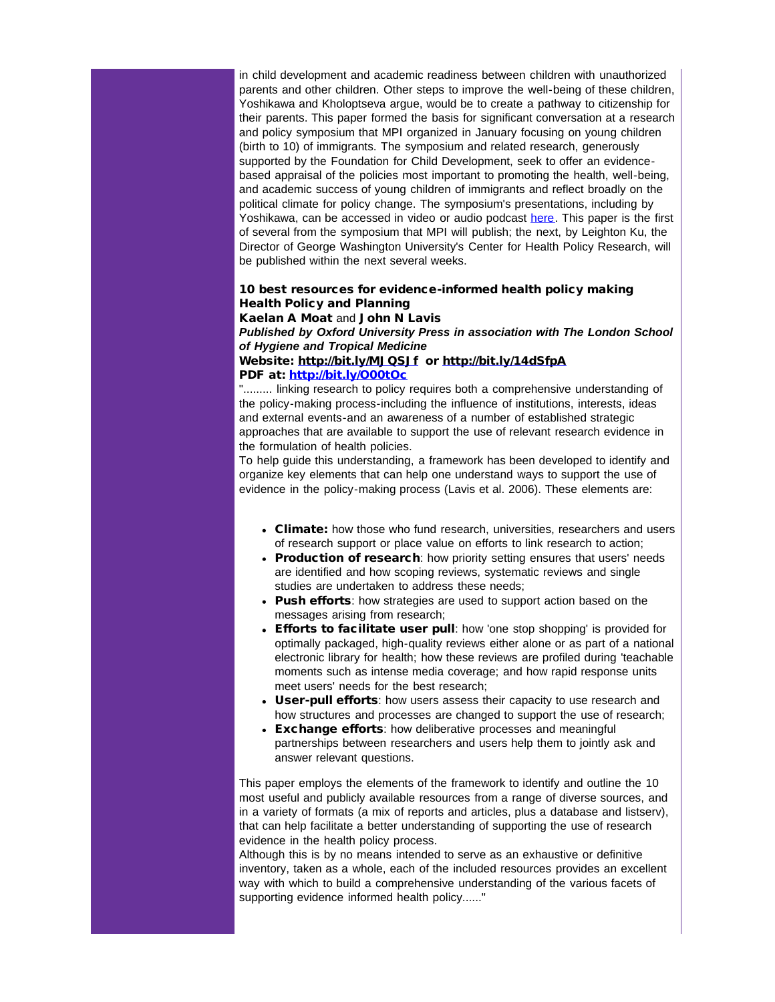in child development and academic readiness between children with unauthorized parents and other children. Other steps to improve the well-being of these children, Yoshikawa and Kholoptseva argue, would be to create a pathway to citizenship for their parents. This paper formed the basis for significant conversation at a research and policy symposium that MPI organized in January focusing on young children (birth to 10) of immigrants. The symposium and related research, generously supported by the Foundation for Child Development, seek to offer an evidencebased appraisal of the policies most important to promoting the health, well-being, and academic success of young children of immigrants and reflect broadly on the political climate for policy change. The symposium's presentations, including by Yoshikawa, can be accessed in video or audio podcast [here](http://r20.rs6.net/tn.jsp?t=guebsqmab.0.dwkfsqmab.5gytkqcab.1&ts=S0897&p=http%3A%2F%2Fmy.migrationpolicy.org%2Fsalsa%2Ftrack.jsp%3Fv%3D2%26c%3DJ69Fy6NcTUvzHJ0LdqUjNP4Fae13qSQ%252B). This paper is the first of several from the symposium that MPI will publish; the next, by Leighton Ku, the Director of George Washington University's Center for Health Policy Research, will be published within the next several weeks.

# 10 best resources for evidence-informed health policy making Health Policy and Planning

#### Kaelan A Moat and John N Lavis

*Published by Oxford University Press in association with The London School of Hygiene and Tropical Medicine*

### Website: [http://bit.ly/MJQSJf](http://r20.rs6.net/tn.jsp?t=guebsqmab.0.zg5twgkab.5gytkqcab.1&ts=S0897&p=http%3A%2F%2Fbit.ly%2FMJQSJf) or [http://bit.ly/14dSfpA](http://r20.rs6.net/tn.jsp?t=guebsqmab.0.kigqsimab.5gytkqcab.1&ts=S0897&p=http%3A%2F%2Fbit.ly%2F14dSfpA) PDF at: [http://bit.ly/O00tOc](http://r20.rs6.net/tn.jsp?t=guebsqmab.0.9g5twgkab.5gytkqcab.1&ts=S0897&p=http%3A%2F%2Fbit.ly%2FO00tOc)

"......... linking research to policy requires both a comprehensive understanding of the policy-making process-including the influence of institutions, interests, ideas and external events-and an awareness of a number of established strategic approaches that are available to support the use of relevant research evidence in the formulation of health policies.

To help guide this understanding, a framework has been developed to identify and organize key elements that can help one understand ways to support the use of evidence in the policy-making process (Lavis et al. 2006). These elements are:

- Climate: how those who fund research, universities, researchers and users of research support or place value on efforts to link research to action;
- Production of research: how priority setting ensures that users' needs are identified and how scoping reviews, systematic reviews and single studies are undertaken to address these needs;
- Push efforts: how strategies are used to support action based on the messages arising from research;
- Efforts to facilitate user pull: how 'one stop shopping' is provided for optimally packaged, high-quality reviews either alone or as part of a national electronic library for health; how these reviews are profiled during 'teachable moments such as intense media coverage; and how rapid response units meet users' needs for the best research;
- User-pull efforts: how users assess their capacity to use research and how structures and processes are changed to support the use of research;
- **Exchange efforts:** how deliberative processes and meaningful partnerships between researchers and users help them to jointly ask and answer relevant questions.

This paper employs the elements of the framework to identify and outline the 10 most useful and publicly available resources from a range of diverse sources, and in a variety of formats (a mix of reports and articles, plus a database and listserv), that can help facilitate a better understanding of supporting the use of research evidence in the health policy process.

Although this is by no means intended to serve as an exhaustive or definitive inventory, taken as a whole, each of the included resources provides an excellent way with which to build a comprehensive understanding of the various facets of supporting evidence informed health policy......"